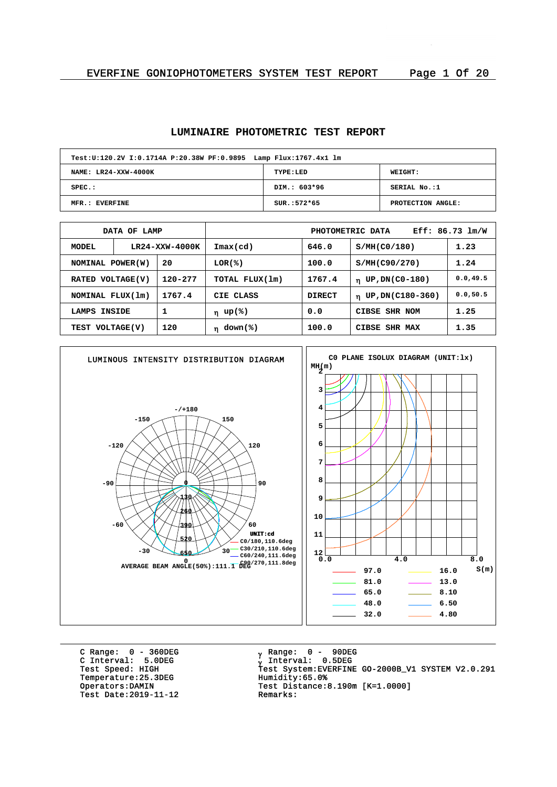## **LUMINAIRE PHOTOMETRIC TEST REPORT**

| Test: U:120.2V I:0.1714A P:20.38W PF: 0.9895 Lamp Flux: 1767.4x1 lm |               |                   |  |  |  |  |  |  |  |
|---------------------------------------------------------------------|---------------|-------------------|--|--|--|--|--|--|--|
| NAME: LR24-XXW-4000K                                                | TYPE:LED      | WEIGHT:           |  |  |  |  |  |  |  |
| $SPEC.$ :                                                           | DIM.: 603*96  | SERIAL No.:1      |  |  |  |  |  |  |  |
| MFR.: EVERFINE                                                      | $SUR.:572*65$ | PROTECTION ANGLE: |  |  |  |  |  |  |  |

| DATA OF LAMP                |                |        | Eff: 86.73 lm/W<br>PHOTOMETRIC DATA |                                         |                                  |           |  |  |  |
|-----------------------------|----------------|--------|-------------------------------------|-----------------------------------------|----------------------------------|-----------|--|--|--|
| MODEL                       | LR24-XXW-4000K |        | $\texttt{Imax}(\text{cd})$          | 646.0                                   | S/MH(C0/180)                     | 1.23      |  |  |  |
| NOMINAL POWER(W)            |                | 20     | LOR(%)                              | 100.0                                   | S/MH(C90/270)                    | 1.24      |  |  |  |
| 120-277<br>RATED VOLTAGE(V) |                |        | TOTAL FLUX(1m)                      | 1767.4<br>UP, DN(C0-180)<br>$\mathbf n$ |                                  |           |  |  |  |
| NOMINAL FLUX(1m)            |                | 1767.4 | CIE CLASS                           | <b>DIRECT</b>                           | UP, DN(C180-360)<br>$\mathbf{n}$ | 0.0, 50.5 |  |  |  |
| LAMPS                       | INSIDE         |        | η up(%)                             | 0.0                                     | CIBSE SHR NOM                    | 1.25      |  |  |  |
| TEST VOLTAGE(V)             |                | 120    | $\eta$ down(%)                      | 100.0                                   | CIBSE SHR MAX                    | 1.35      |  |  |  |



C Range: 0 - 360DEG C Interval: 5.0DEG Temperature: 25.3DEG<br>Operators: DAMIN Test Date: 2019-11-12

<sub>v</sub> Range: 0 – 90DEG y Range: 0 – 90DE<br><sub>V</sub> Interval: 0.5DEG University<br>Test Speed: HIGH Test System:EVERFINE GO-2000B\_V1 SYSTEM V2.0.291<br>Temperature:25.3DEG Humidity:65.0% Test Distance:8.190m [K=1.0000]<br>Remarks: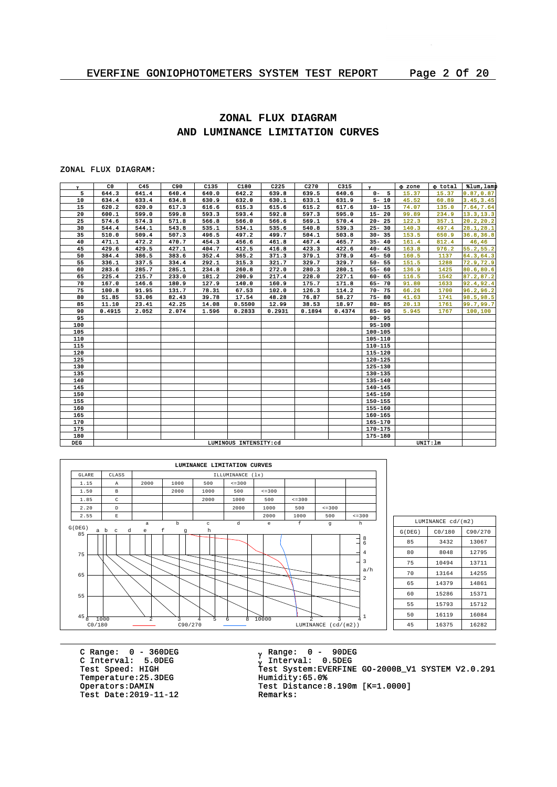# **ZONAL FLUX DIAGRAM AND LUMINANCE LIMITATION CURVES**

## ZONAL FLUX DIAGRAM:

| $\mathbf{v}$ | CO.    | C45   | C90   | C135  | C180                  | C225   | C270   | C315   | $\mathbf{v}$ | <b>O</b> zone | o total  | tlum, lamp |
|--------------|--------|-------|-------|-------|-----------------------|--------|--------|--------|--------------|---------------|----------|------------|
| 5            | 644.3  | 641.4 | 640.4 | 640.0 | 642.2                 | 639.8  | 639.5  | 640.6  | $0 - 5$      | 15.37         | 15.37    | 0.87, 0.87 |
| 10           | 634.4  | 633.4 | 634.8 | 630.9 | 632.0                 | 630.1  | 633.1  | 631.9  | $5 - 10$     | 45.52         | 60.89    | 3.45, 3.45 |
| 15           | 620.2  | 620.0 | 617.3 | 616.6 | 615.3                 | 615.6  | 615.2  | 617.6  | $10 - 15$    | 74.07         | 135.0    | 7.64, 7.64 |
| 20           | 600.1  | 599.0 | 599.8 | 593.3 | 593.4                 | 592.8  | 597.3  | 595.0  | $15 - 20$    | 99.89         | 234.9    | 13.3, 13.3 |
| 25           | 574.6  | 574.3 | 571.8 | 566.8 | 566.0                 | 566.6  | 569.1  | 570.4  | $20 - 25$    | 122.3         | 357.1    | 20.2, 20.2 |
| 30           | 544.4  | 544.1 | 543.8 | 535.1 | 534.1                 | 535.6  | 540.8  | 539.3  | $25 - 30$    | 140.3         | 497.4    | 28.1, 28.1 |
| 35           | 510.0  | 509.4 | 507.3 | 496.5 | 497.2                 | 499.7  | 504.1  | 503.8  | $30 - 35$    | 153.5         | 650.9    | 36.8, 36.8 |
| 40           | 471.1  | 472.2 | 470.7 | 454.3 | 456.6                 | 461.8  | 467.4  | 465.7  | $35 - 40$    | 161.4         | 812.4    | 46,46      |
| 45           | 429.6  | 429.5 | 427.1 | 404.7 | 412.5                 | 416.8  | 423.3  | 422.6  | $40 - 45$    | 163.8         | 976.2    | 55.2, 55.2 |
| 50           | 384.4  | 386.5 | 383.6 | 352.4 | 365.2                 | 371.3  | 379.1  | 378.9  | $45 - 50$    | 160.5         | 1137     | 64.3, 64.3 |
| 55           | 336.1  | 337.5 | 334.4 | 292.1 | 315.3                 | 321.7  | 329.7  | 329.7  | $50 - 55$    | 151.5         | 1288     | 72.9, 72.9 |
| 60           | 283.6  | 285.7 | 285.1 | 234.8 | 260.8                 | 272.0  | 280.3  | 280.1  | $55 - 60$    | 136.9         | 1425     | 80.6,80.6  |
| 65           | 225.4  | 215.7 | 233.0 | 181.2 | 200.9                 | 217.4  | 228.0  | 227.1  | $60 - 65$    | 116.5         | 1542     | 87.2, 87.2 |
| 70           | 167.0  | 146.6 | 180.9 | 127.9 | 140.0                 | 160.9  | 175.7  | 171.8  | $65 - 70$    | 91.80         | 1633     | 92.4,92.4  |
| 75           | 100.8  | 91.95 | 131.7 | 78.31 | 67.53                 | 102.0  | 126.3  | 114.2  | $70 - 75$    | 66.26         | 1700     | 96.2,96.2  |
| 80           | 51.85  | 53.06 | 82.43 | 39.78 | 17.54                 | 48.28  | 76.87  | 58.27  | $75 - 80$    | 41.63         | 1741     | 98.5,98.5  |
| 85           | 11.10  | 23.41 | 42.25 | 14.08 | 0.5500                | 12.99  | 38.53  | 18.97  | $80 - 85$    | 20.13         | 1761     | 99.7, 99.7 |
| 90           | 0.4915 | 2.052 | 2.074 | 1.596 | 0.2833                | 0.2931 | 0.1894 | 0.4374 | $85 - 90$    | 5.945         | 1767     | 100,100    |
| 95           |        |       |       |       |                       |        |        |        | $90 - 95$    |               |          |            |
| 100          |        |       |       |       |                       |        |        |        | $95 - 100$   |               |          |            |
| 105          |        |       |       |       |                       |        |        |        | 100-105      |               |          |            |
| 110          |        |       |       |       |                       |        |        |        | 105-110      |               |          |            |
| 115          |        |       |       |       |                       |        |        |        | 110-115      |               |          |            |
| 120          |        |       |       |       |                       |        |        |        | $115 - 120$  |               |          |            |
| 125          |        |       |       |       |                       |        |        |        | $120 - 125$  |               |          |            |
| 130          |        |       |       |       |                       |        |        |        | 125-130      |               |          |            |
| 135          |        |       |       |       |                       |        |        |        | 130-135      |               |          |            |
| 140          |        |       |       |       |                       |        |        |        | 135-140      |               |          |            |
| 145          |        |       |       |       |                       |        |        |        | $140 - 145$  |               |          |            |
| 150          |        |       |       |       |                       |        |        |        | 145-150      |               |          |            |
| 155          |        |       |       |       |                       |        |        |        | 150-155      |               |          |            |
| 160          |        |       |       |       |                       |        |        |        | 155-160      |               |          |            |
| 165          |        |       |       |       |                       |        |        |        | $160 - 165$  |               |          |            |
| 170          |        |       |       |       |                       |        |        |        | $165 - 170$  |               |          |            |
| 175          |        |       |       |       |                       |        |        |        | 170-175      |               |          |            |
| 180          |        |       |       |       |                       |        |        |        | 175-180      |               |          |            |
| <b>DEG</b>   |        |       |       |       | LUMINOUS INTENSITY:cd |        |        |        |              |               | UNIT: 1m |            |



| LUMINANCE cd/(m2) |        |       |  |  |  |  |  |  |  |
|-------------------|--------|-------|--|--|--|--|--|--|--|
| G(DEG)            | CO/180 |       |  |  |  |  |  |  |  |
| 85                | 3432   | 13067 |  |  |  |  |  |  |  |
| 80                | 8048   | 12795 |  |  |  |  |  |  |  |
| 75                | 10494  | 13711 |  |  |  |  |  |  |  |
| 70                | 13164  | 14255 |  |  |  |  |  |  |  |
| 65                | 14379  | 14861 |  |  |  |  |  |  |  |
| 60                | 15286  | 15371 |  |  |  |  |  |  |  |
| 55                | 15793  | 15712 |  |  |  |  |  |  |  |
| 50                | 16119  | 16084 |  |  |  |  |  |  |  |
| 45                | 16375  | 16282 |  |  |  |  |  |  |  |

C Range: 0 - 360DEG C Interval: 5.0DEG Temperature: 25.3DEG<br>Operators: DAMIN Test Date:  $2019-11-12$ 

<sub>v</sub> Range: 0 – 90DEG y Range: 0 – 90DE<br><sub>V</sub> Interval: 0.5DEG C INCENSITY STREET<br>Test Speed: HIGH Test System:EVERFINE GO-2000B\_V1 SYSTEM V2.0.291<br>Temperature:25.3DEG Humidity:65.0% Test Distance: 8.190m  $[K=1.0000]$ <br>Remarks: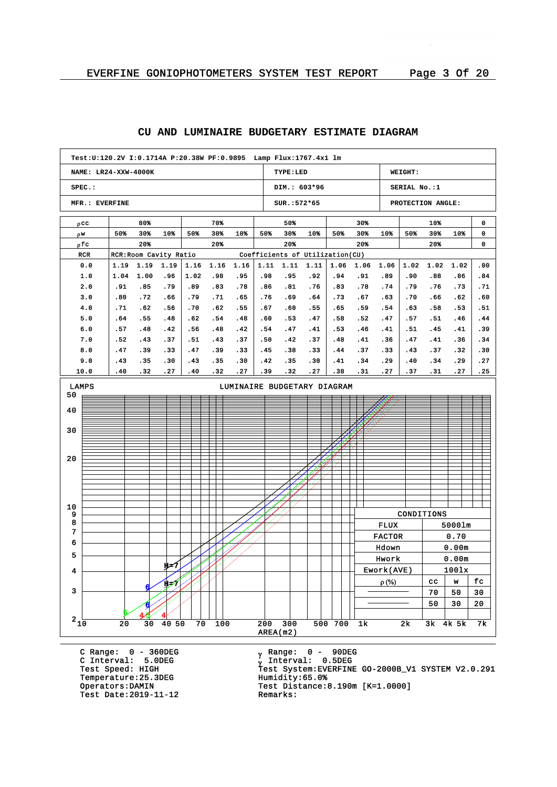#### **NAME: LR24-XXW-4000K SPEC.: MFR.: EVERFINE TYPE:LED DIM.: 603\*96 SUR.:572\*65 WEIGHT: SERIAL No.:1 PROTECTION ANGLE: Test:U:120.2V I:0.1714A P:20.38W PF:0.9895 Lamp Flux:1767.4x1 lm** pcc w r pfc RCR RCR:Room Cavity Ratio Coefficients of Utilization(CU) 80% 50% 30% 10% 20% 70% 50% 30% 10% 20% 50% 50% 30% 10% 20% 30% 50% 30% 10% 20% 10% 50% 30% 10% 20% 0 0 0 0.0 1.0 2.0 3.0 4.0 5.0 6.0 7.0 8.0 9.0 10.0 1.19 1.19 1.19 1.04 .91 .80 .71 .64 .57 .52 .47 .43 .40 1.00 .85 .72 .62 .55 .48 .43 .39 .35 .32 .96 .79 .66 .56 .48 .42 .37 .33 .30 .27 1.16 1.02 .89 .79 .70 .62 .56 .51 .47 .43 .40 1.16 .98 .83 .71 .62 .54 .48 .43 .39 .35 .32 1.16 .95 .78 .65 .55 .48 .42 .37 .33 .30 .27 1.11 1.11 1.11 .98 .86 .76 .67 .60 .54 .50 .45 .42 .39 .95 .81 .69 .60 .53 .47 .42 .38 .35 .32 .92 .76 .64 .55 .47 .41 .37 .33 .30 .27 1.06 .94 .83 .73 .65 .58 .53 .48 .44 .41 .38 1.06 .91 .78 .67 .59 .52 .46 .41 .37 .34 .31 1.06 .89 .74 .63 .54 .47 .41 .36 .33 .29 .27 1.02 1.02 .90 .79 .70 .63 .57 .51 .47 .43 .40 .37 .88 .76 .66 .58 .51 .45 .41 .37 .34 .31 1.02 .86 .73 .62 .53 .46 .41 .36 .32 .29 .27 .00 .84 .71 .60 .51 .44 .39 .34 .30 .27 .25 AREA(m2)  $2\frac{1}{10}$   $20$   $30$   $40$   $50$   $70$   $100$   $200$   $300$   $500$   $700$   $1k$   $2k$   $3k$   $4k$   $5k$   $7k$ 3 4 5 6 7 8 9 10 20 30 40 50 LAMPS LUMINAIRE BUDGETARY DIAGRAM 5 4 6 H=7  $\overline{4}$ 6 H=7 CONDITIONS FLUX 5000lm FACTOR 0.70 Hdown 0.00m Hwork 0.00m Ework(AVE) 100lx  $\rho$  (%)  $\vert$  cc  $\vert$  w  $\vert$  fc  $70 | 50 | 30$  $50 \mid 30 \mid 20$

## **CU AND LUMINAIRE BUDGETARY ESTIMATE DIAGRAM**

C Range: 0 - 360DEG C Interval: 5.0DEG Temperature: 25.3DEG<br>Operators:DAMIN Test Date: 2019-11-12

<sub>v</sub> Range: 0 – 90DEG y Range: 0 – 90DE<br><sub>V</sub> Interval: 0.5DEG <sup>g</sup> Test Speed: HIGH Test System:EVERFINE GO-2000B\_V1 SYSTEM V2.0.291 Test Distance:8.190m [K=1.0000]<br>Remarks: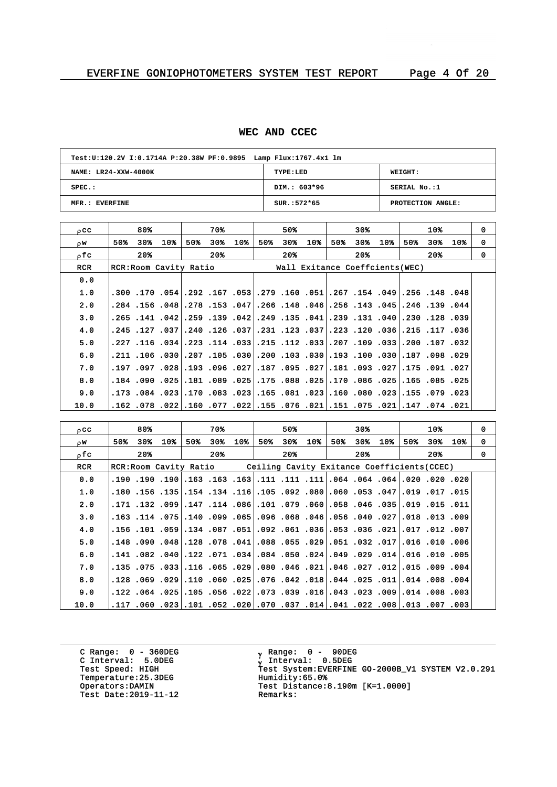## **WEC AND CCEC**

| Test: U:120.2V I:0.1714A P:20.38W PF:0.9895 Lamp Flux: 1767.4x1 lm |               |                   |  |  |  |  |  |  |  |
|--------------------------------------------------------------------|---------------|-------------------|--|--|--|--|--|--|--|
| NAME: LR24-XXW-4000K                                               | TYPE:LED      | WEIGHT:           |  |  |  |  |  |  |  |
| $SPEC.$ :                                                          | DIM.: 603*96  | SERIAL No.:1      |  |  |  |  |  |  |  |
| MFR.: EVERFINE                                                     | $SUR.:572*65$ | PROTECTION ANGLE: |  |  |  |  |  |  |  |

| $_{0}$ CC  |     | 80%   |     |     | 70% |                        |     | 50%   |     |     | 30%   |     |     | 10% |                                 | $\Omega$                                                                                                                                                                                                                                                                                                                                                                                                                                                                                                                                                                                                                                                                                                                                                                                                                   |
|------------|-----|-------|-----|-----|-----|------------------------|-----|-------|-----|-----|-------|-----|-----|-----|---------------------------------|----------------------------------------------------------------------------------------------------------------------------------------------------------------------------------------------------------------------------------------------------------------------------------------------------------------------------------------------------------------------------------------------------------------------------------------------------------------------------------------------------------------------------------------------------------------------------------------------------------------------------------------------------------------------------------------------------------------------------------------------------------------------------------------------------------------------------|
| OW.        | 50% | 30%⊧  | 10% | 50% | 30% | 10 <sub>8</sub>        | 50% | $30*$ | 10% | 50% | 30%   | 10% | 50% | 30% | 10%                             | 0                                                                                                                                                                                                                                                                                                                                                                                                                                                                                                                                                                                                                                                                                                                                                                                                                          |
| ofc        |     | $20*$ |     |     | 20% |                        |     | $20*$ |     |     | $20*$ |     |     | 20% |                                 | $\Omega$                                                                                                                                                                                                                                                                                                                                                                                                                                                                                                                                                                                                                                                                                                                                                                                                                   |
| <b>RCR</b> |     |       |     |     |     |                        |     |       |     |     |       |     |     |     |                                 |                                                                                                                                                                                                                                                                                                                                                                                                                                                                                                                                                                                                                                                                                                                                                                                                                            |
| 0.0        |     |       |     |     |     |                        |     |       |     |     |       |     |     |     |                                 |                                                                                                                                                                                                                                                                                                                                                                                                                                                                                                                                                                                                                                                                                                                                                                                                                            |
| 1.0        |     |       |     |     |     |                        |     |       |     |     |       |     |     |     |                                 |                                                                                                                                                                                                                                                                                                                                                                                                                                                                                                                                                                                                                                                                                                                                                                                                                            |
| 2.0        |     |       |     |     |     |                        |     |       |     |     |       |     |     |     |                                 |                                                                                                                                                                                                                                                                                                                                                                                                                                                                                                                                                                                                                                                                                                                                                                                                                            |
| 3.0        |     |       |     |     |     |                        |     |       |     |     |       |     |     |     |                                 |                                                                                                                                                                                                                                                                                                                                                                                                                                                                                                                                                                                                                                                                                                                                                                                                                            |
| 4.0        |     |       |     |     |     |                        |     |       |     |     |       |     |     |     |                                 |                                                                                                                                                                                                                                                                                                                                                                                                                                                                                                                                                                                                                                                                                                                                                                                                                            |
| 5.0        |     |       |     |     |     |                        |     |       |     |     |       |     |     |     |                                 |                                                                                                                                                                                                                                                                                                                                                                                                                                                                                                                                                                                                                                                                                                                                                                                                                            |
| 6.0        |     |       |     |     |     |                        |     |       |     |     |       |     |     |     |                                 |                                                                                                                                                                                                                                                                                                                                                                                                                                                                                                                                                                                                                                                                                                                                                                                                                            |
| 7.0        |     |       |     |     |     |                        |     |       |     |     |       |     |     |     |                                 |                                                                                                                                                                                                                                                                                                                                                                                                                                                                                                                                                                                                                                                                                                                                                                                                                            |
| 8.0        |     |       |     |     |     |                        |     |       |     |     |       |     |     |     |                                 |                                                                                                                                                                                                                                                                                                                                                                                                                                                                                                                                                                                                                                                                                                                                                                                                                            |
| 9.0        |     |       |     |     |     |                        |     |       |     |     |       |     |     |     |                                 |                                                                                                                                                                                                                                                                                                                                                                                                                                                                                                                                                                                                                                                                                                                                                                                                                            |
| 10.0       |     |       |     |     |     |                        |     |       |     |     |       |     |     |     |                                 |                                                                                                                                                                                                                                                                                                                                                                                                                                                                                                                                                                                                                                                                                                                                                                                                                            |
|            |     |       |     |     |     | RCR: Room Cavity Ratio |     |       |     |     |       |     |     |     | Wall Exitance Coeffcients (WEC) | 48، 148. 148. 490. 154. 267. 51. 160. 150. 173. 53 167. 162. 154 170 170.<br>.240. 139. 246. 246. 143. 256. 148. 148. 266. 257. 281. 278. 269. 156. 284.<br>.269. 128. 129. 131. 139. 131. 139. 135. 149. 139. 149. 159. 141. 156. 141. 165.<br> 36, 117, 125, 36, 120, 122, 237, 123, 121, 131, 037, 126, 1240,,037,,037,<br> 320. 107. 200. 331. 109. 109. 332.207. 112. 155. 333.114. 223. 346. 116. 227.<br>.21. 098. 099. 187. 030. 100. 193. 030. 103. 030. 030. 105. 030. 030. 110. 121.<br> 227. 091. 175. 277181. 093. 181. 207. 095. 187. 227. 096. 193. 208. 197 197.<br>.181.025 .085.155.150.086.025.170.086.025.175.175.181.181.189.090.025.181.<br>023. 079. 155. 023. 080. 060. 023. 081. 165. 023. 023. 071. 023. 084. 173.<br>021. 074. 147. 021. 075. 075. 051. 076. 075. 022. 077. 077. 022. 078. 052. |

| occ        |     | 80%   |     |     | 70%   |     |     | 50%   |                                                                                      |     | 30%   |     |     | 10% |     | 0        |
|------------|-----|-------|-----|-----|-------|-----|-----|-------|--------------------------------------------------------------------------------------|-----|-------|-----|-----|-----|-----|----------|
| OW.        | 50% | 30%   | 10% | 50% | 30%   | 10% | 50% | 30%   | 10%                                                                                  | 50% | 30%   | 10% | 50% | 30% | 10% | 0        |
| ofc        |     | $20*$ |     |     | $20*$ |     |     | $20*$ |                                                                                      |     | $20*$ |     |     | 20% |     | $\Omega$ |
| <b>RCR</b> |     |       |     |     |       |     |     |       | RCR: Room Cavity Ratio Ceiling Cavity Exitance Coefficients (CCEC)                   |     |       |     |     |     |     |          |
| 0.0        |     |       |     |     |       |     |     |       | 020, 200, 200, 201, 204, 204, 204, 111, 111, 111, 163, 163, 163, 190, 190, 190, 190, |     |       |     |     |     |     |          |
| 1.0        |     |       |     |     |       |     |     |       | .150. 17. 019. 047. 053. 050. 060. 092. 105. 105. 154. 154. 155. 156. 150.           |     |       |     |     |     |     |          |
| 2.0        |     |       |     |     |       |     |     |       | 011. 151. 1919. 1031. 1046. 1058. 1060. 107. 1086. 114. 114. 1099. 132. 171.         |     |       |     |     |     |     |          |
| 3.0        |     |       |     |     |       |     |     |       | .009. 1.03 .013 .027. 040. 056. 046. 065. 096. 056. 059. 051. 075. 114. 163.         |     |       |     |     |     |     |          |
| 4.0        |     |       |     |     |       |     |     |       | ,007, 102, 107, 201, 203, 053, 053, 061, 092, 051, 059, 054, 059, 101, 156, 156,     |     |       |     |     |     |     |          |
| 5.0        |     |       |     |     |       |     |     |       | .006. 010. 016. 710. 032. 051. 051. 055. 088. 041. 078. 078. 049. 090. 048.          |     |       |     |     |     |     |          |
| 6.0        |     |       |     |     |       |     |     |       | .1016.010.016.121.029.024.059.024.050.024.05.141.082.040.122.071.                    |     |       |     |     |     |     |          |
| 7.0        |     |       |     |     |       |     |     |       | .004. 009. 115.  112. 027. 046.  201. 046. 080.  209. 105. 115.  33. 175. 135.       |     |       |     |     |     |     |          |
| 8.0        |     |       |     |     |       |     |     |       | .004. 008. 011.014. 025. 044. 018. 042. 076. 076. 069. 010. 029. 059. 029. 128.      |     |       |     |     |     |     |          |
| 9.0        |     |       |     |     |       |     |     |       | .003, 008, 014. 009, 023, 0.43. 016, 039, 0.73. 0.73. 056. 025. 054. 025. 024.       |     |       |     |     |     |     |          |
| 10.0       |     |       |     |     |       |     |     |       | .003, 007, 013.  108. 022. 041. 041. 037. 070. 020. 052. 052. 052. 060. 117.         |     |       |     |     |     |     |          |

C Range: 0 - 360DEG C Interval: 5.0DEG Temperature: 25.3DEG<br>Operators:DAMIN Test Date:  $2019-11-12$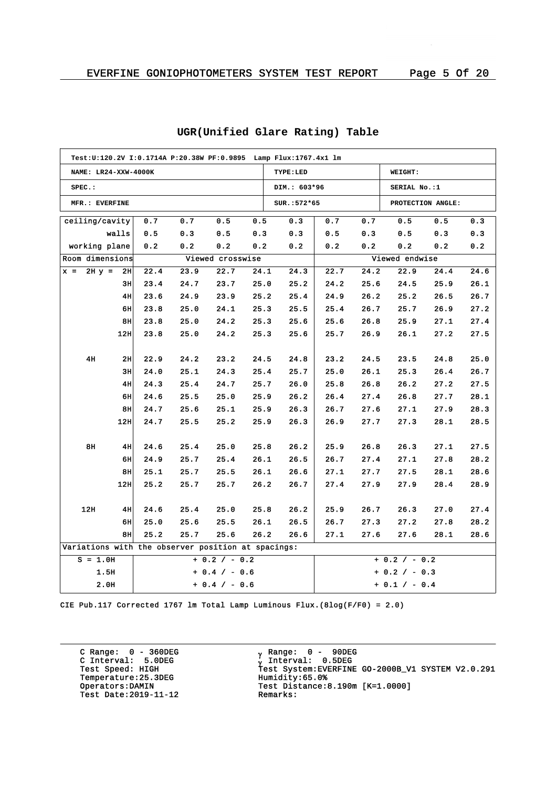|                                                    |                 | Test: U:120.2V I: 0.1714A P: 20.38W PF: 0.9895    Lamp Flux: 1767.4x1    lm |      |                  |      |              |         |      |                 |                   |      |
|----------------------------------------------------|-----------------|-----------------------------------------------------------------------------|------|------------------|------|--------------|---------|------|-----------------|-------------------|------|
| NAME: LR24-XXW-4000K                               |                 |                                                                             |      |                  |      | TYPE:LED     | WEIGHT: |      |                 |                   |      |
| $SPEC.$ :                                          |                 |                                                                             |      |                  |      | DIM.: 603*96 |         |      | SERIAL No.:1    |                   |      |
| MFR.: EVERFINE                                     |                 |                                                                             |      |                  |      | SUR.: 572*65 |         |      |                 | PROTECTION ANGLE: |      |
| ceiling/cavity                                     |                 | 0.7                                                                         | 0.7  | 0.5              | 0.5  | 0.3          | 0.7     | 0.7  | 0.5             | 0.5               | 0.3  |
|                                                    | walls           | 0.5                                                                         | 0.3  | 0.5              | 0.3  | 0.3          | 0.5     | 0.3  | 0.5             | 0.3               | 0.3  |
| working plane                                      |                 | 0.2                                                                         | 0.2  | 0.2              | 0.2  | 0.2          | 0.2     | 0.2  | 0.2             | 0.2               | 0.2  |
| Room dimensions                                    |                 |                                                                             |      | Viewed crosswise |      |              |         |      | Viewed endwise  |                   |      |
| $2H y =$<br>$x =$                                  | 2H              | 22.4                                                                        | 23.9 | 22.7             | 24.1 | 24.3         | 22.7    | 24.2 | 22.9            | 24.4              | 24.6 |
|                                                    | 3н              | 23.4                                                                        | 24.7 | 23.7             | 25.0 | 25.2         | 24.2    | 25.6 | 24.5            | 25.9              | 26.1 |
|                                                    | 4H              | 23.6                                                                        | 24.9 | 23.9             | 25.2 | 25.4         | 24.9    | 26.2 | 25.2            | 26.5              | 26.7 |
|                                                    | 6H              | 23.8                                                                        | 25.0 | 24.1             | 25.3 | 25.5         | 25.4    | 26.7 | 25.7            | 26.9              | 27.2 |
|                                                    | 8H              | 23.8                                                                        | 25.0 | 24.2             | 25.3 | 25.6         | 25.6    | 26.8 | 25.9            | 27.1              | 27.4 |
|                                                    | 12H             | 23.8                                                                        | 25.0 | 24.2             | 25.3 | 25.6         | 25.7    | 26.9 | 26.1            | 27.2              | 27.5 |
|                                                    |                 |                                                                             |      |                  |      |              |         |      |                 |                   |      |
| 4H                                                 | 2H              | 22.9                                                                        | 24.2 | 23.2             | 24.5 | 24.8         | 23.2    | 24.5 | 23.5            | 24.8              | 25.0 |
|                                                    | 3H              | 24.0                                                                        | 25.1 | 24.3             | 25.4 | 25.7         | 25.0    | 26.1 | 25.3            | 26.4              | 26.7 |
|                                                    | 4H              | 24.3                                                                        | 25.4 | 24.7             | 25.7 | 26.0         | 25.8    | 26.8 | 26.2            | 27.2              | 27.5 |
|                                                    | 6H              | 24.6                                                                        | 25.5 | 25.0             | 25.9 | 26.2         | 26.4    | 27.4 | 26.8            | 27.7              | 28.1 |
|                                                    | 8H              | 24.7                                                                        | 25.6 | 25.1             | 25.9 | 26.3         | 26.7    | 27.6 | 27.1            | 27.9              | 28.3 |
|                                                    | 12H             | 24.7                                                                        | 25.5 | 25.2             | 25.9 | 26.3         | 26.9    | 27.7 | 27.3            | 28.1              | 28.5 |
|                                                    |                 |                                                                             |      |                  |      |              |         |      |                 |                   |      |
| 8H                                                 | 4H              | 24.6                                                                        | 25.4 | 25.0             | 25.8 | 26.2         | 25.9    | 26.8 | 26.3            | 27.1              | 27.5 |
|                                                    | 6H              | 24.9                                                                        | 25.7 | 25.4             | 26.1 | 26.5         | 26.7    | 27.4 | 27.1            | 27.8              | 28.2 |
|                                                    | 8н              | 25.1                                                                        | 25.7 | 25.5             | 26.1 | 26.6         | 27.1    | 27.7 | 27.5            | 28.1              | 28.6 |
|                                                    | 12 <sub>H</sub> | 25.2                                                                        | 25.7 | 25.7             | 26.2 | 26.7         | 27.4    | 27.9 | 27.9            | 28.4              | 28.9 |
|                                                    |                 |                                                                             |      |                  |      |              |         |      |                 |                   |      |
| 12H                                                | 4H              | 24.6                                                                        | 25.4 | 25.0             | 25.8 | 26.2         | 25.9    | 26.7 | 26.3            | 27.0              | 27.4 |
|                                                    | 6H              | 25.0                                                                        | 25.6 | 25.5             | 26.1 | 26.5         | 26.7    | 27.3 | 27.2            | 27.8              | 28.2 |
|                                                    | 8H              | 25.2                                                                        | 25.7 | 25.6             | 26.2 | 26.6         | 27.1    | 27.6 | 27.6            | 28.1              | 28.6 |
| Variations with the observer position at spacings: |                 |                                                                             |      |                  |      |              |         |      |                 |                   |      |
| $S = 1.0H$                                         |                 |                                                                             |      | $+ 0.2 / - 0.2$  |      |              |         |      | $+ 0.2 / - 0.2$ |                   |      |
|                                                    | 1.5H            |                                                                             |      | $+ 0.4 / - 0.6$  |      |              |         |      | + 0.2 / - 0.3   |                   |      |
|                                                    | 2.0H            |                                                                             |      | $+ 0.4 / - 0.6$  |      |              |         |      | $+ 0.1 / - 0.4$ |                   |      |

# **UGR(Unified Glare Rating) Table**

CIE Pub.117 Corrected 1767 lm Total Lamp Luminous Flux.(8log(F/F0) = 2.0)

C Range: 0 - 360DEG C Interval: 5.0DEG Temperature:25.3DEG<br>Operators:DAMIN Test Date:  $2019-11-12$ 

<sub>v</sub> Range: 0 – 90DEG y Range: 0 – 90DE<br><sub>V</sub> Interval: 0.5DEG G INCERVAL: 3.0220<br>Test Speed: HIGH Test System:EVERFINE GO-2000B\_V1 SYSTEM V2.0.291<br>Temperature:25.3DEG Humidity:65.0% Test Distance:8.190m [K=1.0000]<br>Remarks: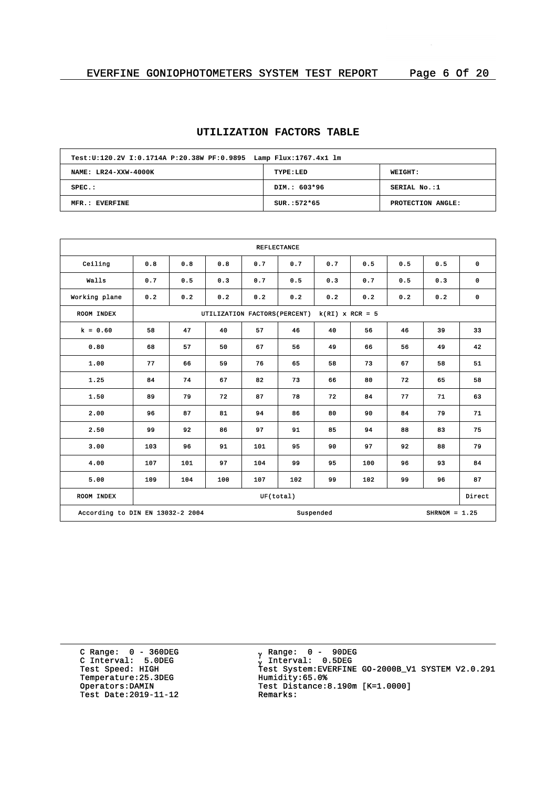# **UTILIZATION FACTORS TABLE**

| Test:U:120.2V I:0.1714A P:20.38W PF:0.9895 Lamp Flux:1767.4x1 lm |               |                   |  |  |  |  |  |  |  |
|------------------------------------------------------------------|---------------|-------------------|--|--|--|--|--|--|--|
| NAME: LR24-XXW-4000K<br><b>WEIGHT:</b><br>TYPE:LED               |               |                   |  |  |  |  |  |  |  |
| $SPEC.$ :                                                        | DIM.: 603*96  | SERIAL No.:1      |  |  |  |  |  |  |  |
| MFR.: EVERFINE                                                   | $SUR.:572*65$ | PROTECTION ANGLE: |  |  |  |  |  |  |  |

| <b>REFLECTANCE</b>                                               |     |     |                               |           |     |                   |     |     |     |             |
|------------------------------------------------------------------|-----|-----|-------------------------------|-----------|-----|-------------------|-----|-----|-----|-------------|
| Ceiling                                                          | 0.8 | 0.8 | 0.8                           | 0.7       | 0.7 | 0.7               | 0.5 | 0.5 | 0.5 | 0           |
| Walls                                                            | 0.7 | 0.5 | 0.3                           | 0.7       | 0.5 | 0.3               | 0.7 | 0.5 | 0.3 | $\mathbf 0$ |
| Working plane                                                    | 0.2 | 0.2 | 0.2                           | 0.2       | 0.2 | 0.2               | 0.2 | 0.2 | 0.2 | 0           |
| ROOM INDEX                                                       |     |     | UTILIZATION FACTORS (PERCENT) |           |     | $k(RI)$ x RCR = 5 |     |     |     |             |
| $k = 0.60$                                                       | 58  | 47  | 40                            | 57        | 46  | 40                | 56  | 46  | 39  | 33          |
| 0.80                                                             | 68  | 57  | 50                            | 67        | 56  | 49                | 66  | 56  | 49  | 42          |
| 1.00                                                             | 77  | 66  | 59                            | 76        | 65  | 58                | 73  | 67  | 58  | 51          |
| 1.25                                                             | 84  | 74  | 67                            | 82        | 73  | 66                | 80  | 72  | 65  | 58          |
| 1.50                                                             | 89  | 79  | 72                            | 87        | 78  | 72                | 84  | 77  | 71  | 63          |
| 2.00                                                             | 96  | 87  | 81                            | 94        | 86  | 80                | 90  | 84  | 79  | 71          |
| 2.50                                                             | 99  | 92  | 86                            | 97        | 91  | 85                | 94  | 88  | 83  | 75          |
| 3.00                                                             | 103 | 96  | 91                            | 101       | 95  | 90                | 97  | 92  | 88  | 79          |
| 4.00                                                             | 107 | 101 | 97                            | 104       | 99  | 95                | 100 | 96  | 93  | 84          |
| 5.00                                                             | 109 | 104 | 100                           | 107       | 102 | 99                | 102 | 99  | 96  | 87          |
| ROOM INDEX                                                       |     |     |                               | UF(total) |     |                   |     |     |     | Direct      |
| According to DIN EN 13032-2 2004<br>Suspended<br>$SHRNOM = 1.25$ |     |     |                               |           |     |                   |     |     |     |             |

C Range: 0 - 360DEG C Interval: 5.0DEG Temperature: 25.3DEG<br>Operators:DAMIN Test Date:  $2019-11-12$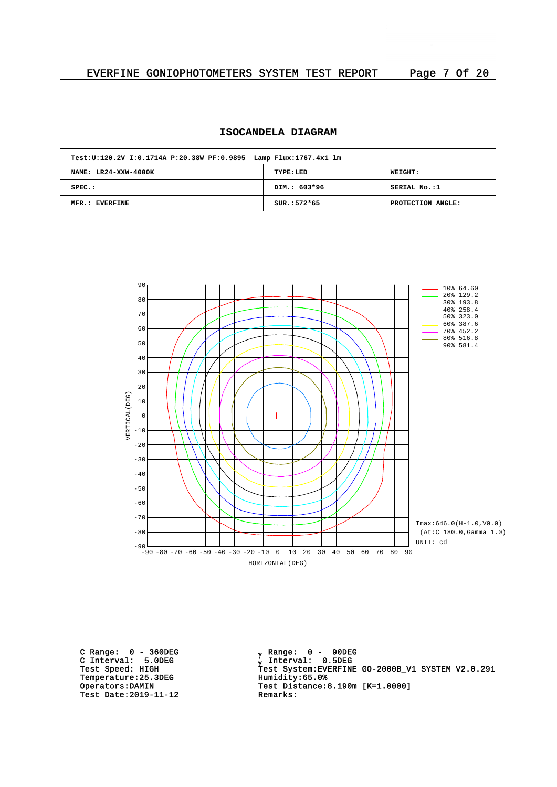# **ISOCANDELA DIAGRAM**

| Test: U:120.2V I:0.1714A P:20.38W PF: 0.9895 Lamp Flux: 1767.4x1 lm |               |                   |  |  |  |  |  |  |  |
|---------------------------------------------------------------------|---------------|-------------------|--|--|--|--|--|--|--|
| NAME: LR24-XXW-4000K                                                | TYPE:LED      | <b>WEIGHT:</b>    |  |  |  |  |  |  |  |
| $SPEC.$ :                                                           | DIM.: 603*96  | SERIAL No.:1      |  |  |  |  |  |  |  |
| MFR.: EVERFINE                                                      | $SUR.:572*65$ | PROTECTION ANGLE: |  |  |  |  |  |  |  |



C Range: 0 - 360DEG C Interval: 5.0DEG Temperature: 25.3DEG<br>Operators: DAMIN Test Date:  $2019-11-12$ 

<sub>v</sub> Range: 0 – 90DEG y Range: 0 – 90DE<br><sub>V</sub> Interval: 0.5DEG G INCERTION: 3.0220<br>Test Speed: HIGH Test System:EVERFINE GO-2000B\_V1 SYSTEM V2.0.291<br>Temperature:25.3DEG Humidity:65.0% Test Distance:8.190m [K=1.0000]<br>Remarks: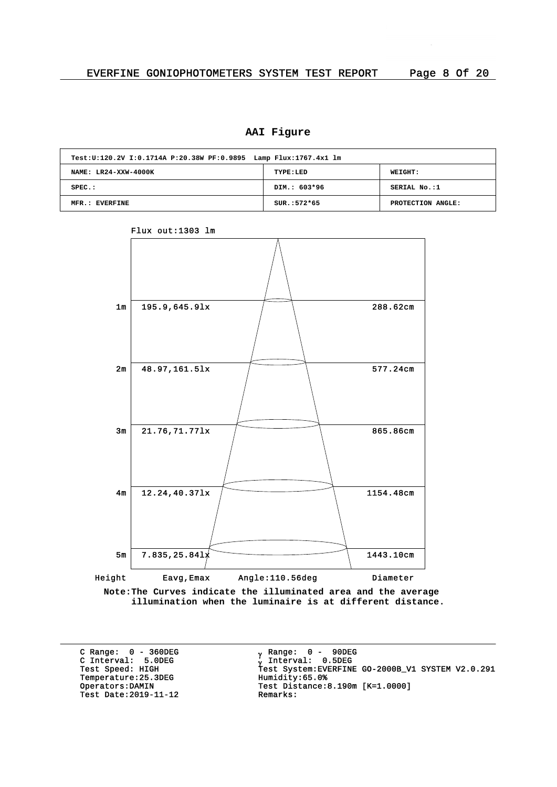# **AAI Figure**

| Test: U:120.2V I:0.1714A P:20.38W PF: 0.9895 Lamp Flux: 1767.4x1 lm |               |                   |  |  |  |  |  |  |  |
|---------------------------------------------------------------------|---------------|-------------------|--|--|--|--|--|--|--|
| NAME: LR24-XXW-4000K<br>TYPE:LED<br><b>WEIGHT:</b>                  |               |                   |  |  |  |  |  |  |  |
| $SPEC.$ :                                                           | DIM.: 603*96  | SERIAL No.:1      |  |  |  |  |  |  |  |
| MFR.: EVERFINE                                                      | $SUR.:572*65$ | PROTECTION ANGLE: |  |  |  |  |  |  |  |



Flux out:1303 lm

**Note:The Curves indicate the illuminated area and the average illumination when the luminaire is at different distance.**

C Range: 0 - 360DEG C Interval: 5.0DEG Temperature: 25.3DEG<br>Operators: DAMIN Test Date: 2019-11-12

<sub>v</sub> Range: 0 – 90DEG y Range: 0 – 90DE<br><sub>V</sub> Interval: 0.5DEG G INCERVITE STREET<br>Test Speed: HIGH Test System:EVERFINE GO-2000B\_V1 SYSTEM V2.0.291<br>Temperature:25.3DEG Humidity:65.0% Test Distance:8.190m [K=1.0000]<br>Remarks: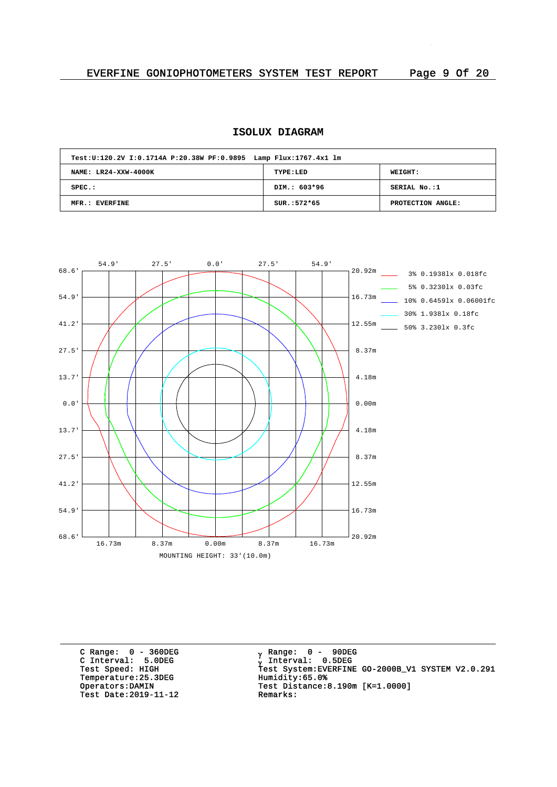# **ISOLUX DIAGRAM**

| Test: U:120.2V I:0.1714A P:20.38W PF: 0.9895 Lamp Flux: 1767.4x1 lm |               |                   |
|---------------------------------------------------------------------|---------------|-------------------|
| NAME: LR24-XXW-4000K                                                | TYPE:LED      | <b>WEIGHT:</b>    |
| $SPEC.$ :                                                           | DIM.: 603*96  | SERIAL No.:1      |
| MFR.: EVERFINE                                                      | $SUR.:572*65$ | PROTECTION ANGLE: |



C Range: 0 - 360DEG C Interval: 5.0DEG Temperature: 25.3DEG<br>Operators: DAMIN Test Date:  $2019-11-12$ 

<sub>v</sub> Range: 0 – 90DEG y Range: 0 – 90DE<br><sub>V</sub> Interval: 0.5DEG G INCEIVAL: 3.0220<br>Test Speed: HIGH Test System:EVERFINE GO-2000B\_V1 SYSTEM V2.0.291<br>Temperature:25.3DEG Humidity:65.0% Test Distance: 8.190m  $[K=1.0000]$ <br>Remarks: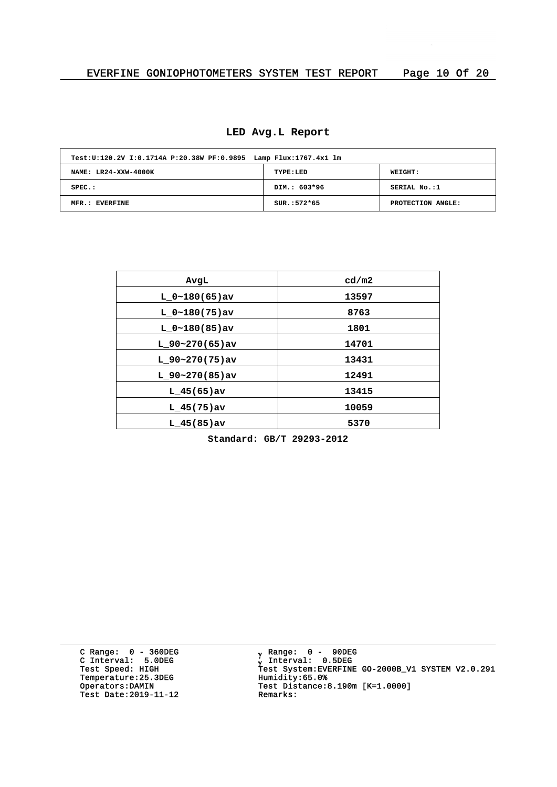|  |  | LED Avg.L Report |
|--|--|------------------|
|--|--|------------------|

| Test: U:120.2V I:0.1714A P:20.38W PF: 0.9895 Lamp Flux: 1767.4x1 lm |               |                   |
|---------------------------------------------------------------------|---------------|-------------------|
| NAME: LR24-XXW-4000K                                                | TYPE:LED      | WEIGHT:           |
| $SPEC.$ :                                                           | DIM.: 603*96  | SERIAL No.:1      |
| MFR.: EVERFINE                                                      | $SUR.:572*65$ | PROTECTION ANGLE: |

| AvgL              | cd/m2 |
|-------------------|-------|
| $L 0~180(65)$ av  | 13597 |
| $L 0~180(75)$ av  | 8763  |
| $L 0~180(85)$ av  | 1801  |
| L $90-270(65)$ av | 14701 |
| L $90-270(75)$ av | 13431 |
| $L$ 90~270(85)av  | 12491 |
| $L$ 45(65) av     | 13415 |
| $L$ 45(75)av      | 10059 |
| $L$ 45(85) av     | 5370  |
|                   |       |

**Standard: GB/T 29293-2012**

C Range: 0 - 360DEG C Interval: 5.0DEG Temperature: 25.3DEG<br>Operators:DAMIN Test Date: 2019-11-12 Remarks:

<sub>v</sub> Range: 0 – 90DEG y Range: 0 – 90DE<br><sub>V</sub> Interval: 0.5DEG <sup>g</sup> Test Speed: HIGH Test System:EVERFINE GO-2000B\_V1 SYSTEM V2.0.291 Operators:DAMIN Test Distance:8.190m [K=1.0000]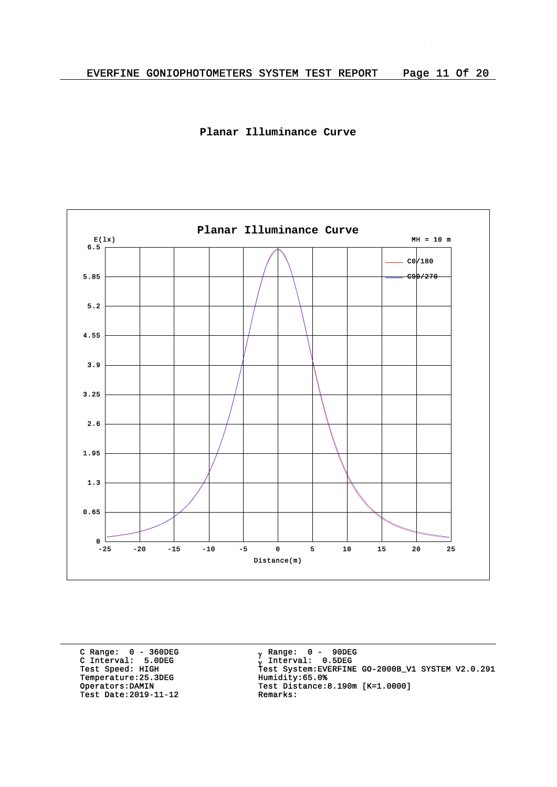



C Range: 0 - 360DEG C Interval: 5.0DEG Temperature: 25.3DEG<br>Operators: DAMIN Test Date:  $2019-11-12$ 

<sub>v</sub> Range: 0 – 90DEG y Range: 0 – 90DE<br><sub>V</sub> Interval: 0.5DEG G INCEIVAL: 3.0220<br>Test Speed: HIGH Test System:EVERFINE GO-2000B\_V1 SYSTEM V2.0.291<br>Temperature:25.3DEG Humidity:65.0% Test Distance:8.190m [K=1.0000]<br>Remarks: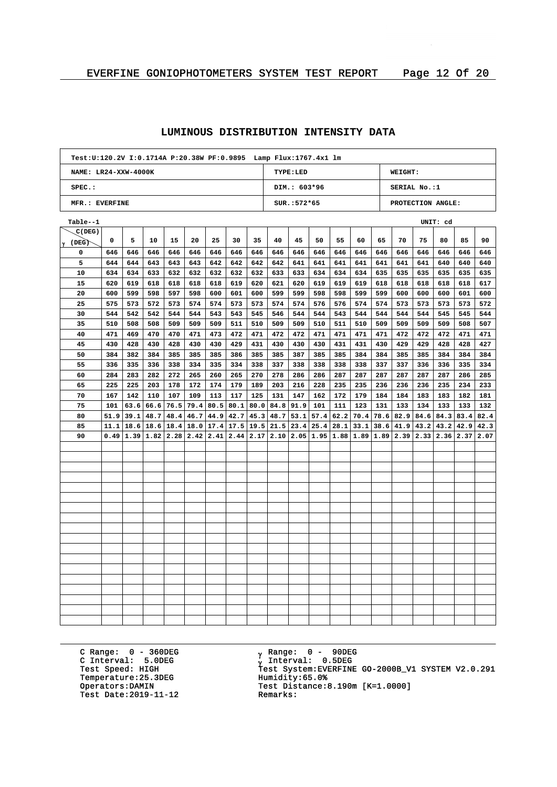| Test: U:120.2V I: 0.1714A P: 20.38W PF: 0.9895 Lamp Flux: 1767.4x1 lm |      |      |                                                                                                                                                  |      |      |      |      |                             |      |               |      |      |      |     |                                 |     |                   |      |      |
|-----------------------------------------------------------------------|------|------|--------------------------------------------------------------------------------------------------------------------------------------------------|------|------|------|------|-----------------------------|------|---------------|------|------|------|-----|---------------------------------|-----|-------------------|------|------|
| NAME: LR24-XXW-4000K                                                  |      |      |                                                                                                                                                  |      |      |      |      |                             |      | TYPE: LED     |      |      |      |     | <b>WEIGHT:</b>                  |     |                   |      |      |
| SPEC.:                                                                |      |      |                                                                                                                                                  |      |      |      |      |                             |      | DIM.: 603*96  |      |      |      |     | SERIAL No.:1                    |     |                   |      |      |
| MFR.: EVERFINE                                                        |      |      |                                                                                                                                                  |      |      |      |      |                             |      | $SUR.:572*65$ |      |      |      |     |                                 |     | PROTECTION ANGLE: |      |      |
| Table--1                                                              |      |      |                                                                                                                                                  |      |      |      |      |                             |      |               |      |      |      |     |                                 |     | UNIT: cd          |      |      |
| C(DEG)                                                                |      |      |                                                                                                                                                  |      |      |      |      |                             |      |               |      |      |      |     |                                 |     |                   |      |      |
| $\gamma$ (DEG)                                                        | 0    | 5    | 10                                                                                                                                               | 15   | 20   | 25   | 30   | 35                          | 40   | 45            | 50   | 55   | 60   | 65  | 70                              | 75  | 80                | 85   | 90   |
| 0                                                                     | 646  | 646  | 646                                                                                                                                              | 646  | 646  | 646  | 646  | 646                         | 646  | 646           | 646  | 646  | 646  | 646 | 646                             | 646 | 646               | 646  | 646  |
| 5                                                                     | 644  | 644  | 643                                                                                                                                              | 643  | 643  | 642  | 642  | 642                         | 642  | 641           | 641  | 641  | 641  | 641 | 641                             | 641 | 640               | 640  | 640  |
| 10                                                                    | 634  | 634  | 633                                                                                                                                              | 632  | 632  | 632  | 632  | 632                         | 633  | 633           | 634  | 634  | 634  | 635 | 635                             | 635 | 635               | 635  | 635  |
| 15                                                                    | 620  | 619  | 618                                                                                                                                              | 618  | 618  | 618  | 619  | 620                         | 621  | 620           | 619  | 619  | 619  | 618 | 618                             | 618 | 618               | 618  | 617  |
| 20                                                                    | 600  | 599  | 598                                                                                                                                              | 597  | 598  | 600  | 601  | 600                         | 599  | 599           | 598  | 598  | 599  | 599 | 600                             | 600 | 600               | 601  | 600  |
| 25                                                                    | 575  | 573  | 572                                                                                                                                              | 573  | 574  | 574  | 573  | 573                         | 574  | 574           | 576  | 576  | 574  | 574 | 573                             | 573 | 573               | 573  | 572  |
| 30                                                                    | 544  | 542  | 542                                                                                                                                              | 544  | 544  | 543  | 543  | 545                         | 546  | 544           | 544  | 543  | 544  | 544 | 544                             | 544 | 545               | 545  | 544  |
| 35                                                                    | 510  | 508  | 508                                                                                                                                              | 509  | 509  | 509  | 511  | 510                         | 509  | 509           | 510  | 511  | 510  | 509 | 509                             | 509 | 509               | 508  | 507  |
| 40                                                                    | 471  | 469  | 470                                                                                                                                              | 470  | 471  | 473  | 472  | 471                         | 472  | 472           | 471  | 471  | 471  | 471 | 472                             | 472 | 472               | 471  | 471  |
| 45                                                                    | 430  | 428  | 430                                                                                                                                              | 428  | 430  | 430  | 429  | 431                         | 430  | 430           | 430  | 431  | 431  | 430 | 429                             | 429 | 428               | 428  | 427  |
| 50                                                                    | 384  | 382  | 384                                                                                                                                              | 385  | 385  | 385  | 386  | 385                         | 385  | 387           | 385  | 385  | 384  | 384 | 385                             | 385 | 384               | 384  | 384  |
| 55                                                                    | 336  | 335  | 336                                                                                                                                              | 338  | 334  | 335  | 334  | 338                         | 337  | 338           | 338  | 338  | 338  | 337 | 337                             | 336 | 336               | 335  | 334  |
| 60                                                                    | 284  | 283  | 282                                                                                                                                              | 272  | 265  | 260  | 265  | 270                         | 278  | 286           | 286  | 287  | 287  | 287 | 287                             | 287 | 287               | 286  | 285  |
| 65                                                                    | 225  | 225  | 203                                                                                                                                              | 178  | 172  | 174  | 179  | 189                         | 203  | 216           | 228  | 235  | 235  | 236 | 236                             | 236 | 235               | 234  | 233  |
| 70                                                                    | 167  | 142  | 110                                                                                                                                              | 107  | 109  | 113  | 117  | 125                         | 131  | 147           | 162  | 172  | 179  | 184 | 184                             | 183 | 183               | 182  | 181  |
| 75                                                                    | 101  | 63.6 | 66.6                                                                                                                                             | 76.5 | 79.4 | 80.5 | 80.1 | 80.0                        | 84.8 | 91.9          | 101  | 111  | 123  | 131 | 133                             | 134 | 133               | 133  | 132  |
| 80                                                                    | 51.9 | 39.1 | 48.7                                                                                                                                             | 48.4 | 46.7 |      |      | $44.9$   $42.7$   $45.3$    | 48.7 | 53.1          | 57.4 | 62.2 | 70.4 |     | $78.6$   82.9   84.6            |     | 84.3              | 83.4 | 82.4 |
| 85                                                                    | 11.1 | 18.6 | 18.6                                                                                                                                             | 18.4 | 18.0 |      |      | $17.4$   17.5   19.5   21.5 |      | 23.4          | 25.4 | 28.1 | 33.1 |     | $38.6 \mid 41.9 \mid 43.2 \mid$ |     | 43.2              | 42.9 | 42.3 |
| 90                                                                    |      |      | $0.49$ $ 1.39 $ $ 1.82 $ $ 2.28 $ $2.42 $ $2.41 $ $2.44 $ $2.17 $ $2.10 $ $2.05 $ $1.95 $ $1.88 $ $1.89 $ $1.89 $ $2.39 $ $2.33 $ $2.36 $ $2.37$ |      |      |      |      |                             |      |               |      |      |      |     |                                 |     |                   |      | 2.07 |
|                                                                       |      |      |                                                                                                                                                  |      |      |      |      |                             |      |               |      |      |      |     |                                 |     |                   |      |      |
|                                                                       |      |      |                                                                                                                                                  |      |      |      |      |                             |      |               |      |      |      |     |                                 |     |                   |      |      |
|                                                                       |      |      |                                                                                                                                                  |      |      |      |      |                             |      |               |      |      |      |     |                                 |     |                   |      |      |
|                                                                       |      |      |                                                                                                                                                  |      |      |      |      |                             |      |               |      |      |      |     |                                 |     |                   |      |      |
|                                                                       |      |      |                                                                                                                                                  |      |      |      |      |                             |      |               |      |      |      |     |                                 |     |                   |      |      |
|                                                                       |      |      |                                                                                                                                                  |      |      |      |      |                             |      |               |      |      |      |     |                                 |     |                   |      |      |
|                                                                       |      |      |                                                                                                                                                  |      |      |      |      |                             |      |               |      |      |      |     |                                 |     |                   |      |      |
|                                                                       |      |      |                                                                                                                                                  |      |      |      |      |                             |      |               |      |      |      |     |                                 |     |                   |      |      |
|                                                                       |      |      |                                                                                                                                                  |      |      |      |      |                             |      |               |      |      |      |     |                                 |     |                   |      |      |
|                                                                       |      |      |                                                                                                                                                  |      |      |      |      |                             |      |               |      |      |      |     |                                 |     |                   |      |      |
|                                                                       |      |      |                                                                                                                                                  |      |      |      |      |                             |      |               |      |      |      |     |                                 |     |                   |      |      |
|                                                                       |      |      |                                                                                                                                                  |      |      |      |      |                             |      |               |      |      |      |     |                                 |     |                   |      |      |
|                                                                       |      |      |                                                                                                                                                  |      |      |      |      |                             |      |               |      |      |      |     |                                 |     |                   |      |      |
|                                                                       |      |      |                                                                                                                                                  |      |      |      |      |                             |      |               |      |      |      |     |                                 |     |                   |      |      |
|                                                                       |      |      |                                                                                                                                                  |      |      |      |      |                             |      |               |      |      |      |     |                                 |     |                   |      |      |
|                                                                       |      |      |                                                                                                                                                  |      |      |      |      |                             |      |               |      |      |      |     |                                 |     |                   |      |      |
|                                                                       |      |      |                                                                                                                                                  |      |      |      |      |                             |      |               |      |      |      |     |                                 |     |                   |      |      |
|                                                                       |      |      |                                                                                                                                                  |      |      |      |      |                             |      |               |      |      |      |     |                                 |     |                   |      |      |

C Range: 0 - 360DEG C Interval: 5.0DEG Temperature: 25.3DEG<br>Operators: DAMIN Test Date:  $2019-11-12$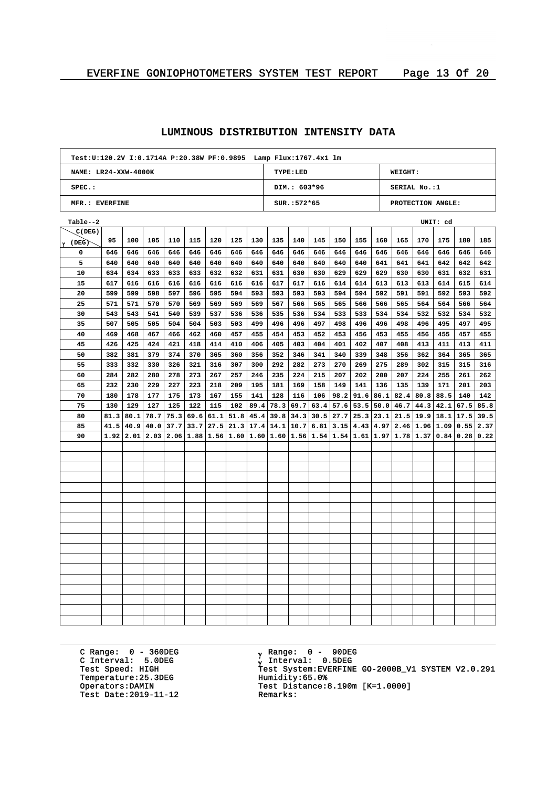| Test: U:120.2V I: 0.1714A P: 20.38W PF: 0.9895    Lamp Flux: 1767.4x1    lm |      |      |                                                                                                                             |      |      |     |                  |      |                             |                |      |      |               |     |                           |      |                             |      |      |
|-----------------------------------------------------------------------------|------|------|-----------------------------------------------------------------------------------------------------------------------------|------|------|-----|------------------|------|-----------------------------|----------------|------|------|---------------|-----|---------------------------|------|-----------------------------|------|------|
| NAME: LR24-XXW-4000K                                                        |      |      |                                                                                                                             |      |      |     |                  |      |                             | TYPE: LED      |      |      |               |     | <b>WEIGHT:</b>            |      |                             |      |      |
| SPEC.:                                                                      |      |      |                                                                                                                             |      |      |     |                  |      |                             | DIM.: 603*96   |      |      |               |     | SERIAL No.:1              |      |                             |      |      |
| MFR.: EVERFINE                                                              |      |      |                                                                                                                             |      |      |     |                  |      |                             | $SUR.: 572*65$ |      |      |               |     |                           |      | PROTECTION ANGLE:           |      |      |
| Table--2                                                                    |      |      |                                                                                                                             |      |      |     |                  |      |                             |                |      |      |               |     |                           |      | UNIT: cd                    |      |      |
| C(DEG)                                                                      |      |      |                                                                                                                             |      |      |     |                  |      |                             |                |      |      |               |     |                           |      |                             |      |      |
| $\gamma$ (DEG)                                                              | 95   | 100  | 105                                                                                                                         | 110  | 115  | 120 | 125              | 130  | 135                         | 140            | 145  | 150  | 155           | 160 | 165                       | 170  | 175                         | 180  | 185  |
| 0                                                                           | 646  | 646  | 646                                                                                                                         | 646  | 646  | 646 | 646              | 646  | 646                         | 646            | 646  | 646  | 646           | 646 | 646                       | 646  | 646                         | 646  | 646  |
| 5                                                                           | 640  | 640  | 640                                                                                                                         | 640  | 640  | 640 | 640              | 640  | 640                         | 640            | 640  | 640  | 640           | 641 | 641                       | 641  | 642                         | 642  | 642  |
| 10                                                                          | 634  | 634  | 633                                                                                                                         | 633  | 633  | 632 | 632              | 631  | 631                         | 630            | 630  | 629  | 629           | 629 | 630                       | 630  | 631                         | 632  | 631  |
| 15                                                                          | 617  | 616  | 616                                                                                                                         | 616  | 616  | 616 | 616              | 616  | 617                         | 617            | 616  | 614  | 614           | 613 | 613                       | 613  | 614                         | 615  | 614  |
| 20                                                                          | 599  | 599  | 598                                                                                                                         | 597  | 596  | 595 | 594              | 593  | 593                         | 593            | 593  | 594  | 594           | 592 | 591                       | 591  | 592                         | 593  | 592  |
| 25                                                                          | 571  | 571  | 570                                                                                                                         | 570  | 569  | 569 | 569              | 569  | 567                         | 566            | 565  | 565  | 566           | 566 | 565                       | 564  | 564                         | 566  | 564  |
| 30                                                                          | 543  | 543  | 541                                                                                                                         | 540  | 539  | 537 | 536              | 536  | 535                         | 536            | 534  | 533  | 533           | 534 | 534                       | 532  | 532                         | 534  | 532  |
| 35                                                                          | 507  | 505  | 505                                                                                                                         | 504  | 504  | 503 | 503              | 499  | 496                         | 496            | 497  | 498  | 496           | 496 | 498                       | 496  | 495                         | 497  | 495  |
| 40                                                                          | 469  | 468  | 467                                                                                                                         | 466  | 462  | 460 | 457              | 455  | 454                         | 453            | 452  | 453  | 456           | 453 | 455                       | 456  | 455                         | 457  | 455  |
| 45                                                                          | 426  | 425  | 424                                                                                                                         | 421  | 418  | 414 | 410              | 406  | 405                         | 403            | 404  | 401  | 402           | 407 | 408                       | 413  | 411                         | 413  | 411  |
| 50                                                                          | 382  | 381  | 379                                                                                                                         | 374  | 370  | 365 | 360              | 356  | 352                         | 346            | 341  | 340  | 339           | 348 | 356                       | 362  | 364                         | 365  | 365  |
| 55                                                                          | 333  | 332  | 330                                                                                                                         | 326  | 321  | 316 | 307              | 300  | 292                         | 282            | 273  | 270  | 269           | 275 | 289                       | 302  | 315                         | 315  | 316  |
| 60                                                                          | 284  | 282  | 280                                                                                                                         | 278  | 273  | 267 | 257              | 246  | 235                         | 224            | 215  | 207  | 202           | 200 | 207                       | 224  | 255                         | 261  | 262  |
| 65                                                                          | 232  | 230  | 229                                                                                                                         | 227  | 223  | 218 | 209              | 195  | 181                         | 169            | 158  | 149  | 141           | 136 | 135                       | 139  | 171                         | 201  | 203  |
| 70                                                                          | 180  | 178  | 177                                                                                                                         | 175  | 173  | 167 | 155              | 141  | 128                         | 116            | 106  | 98.2 | 91.6          |     | $86.1$   82.4   80.8      |      | 88.5                        | 140  | 142  |
| 75                                                                          | 130  | 129  | 127                                                                                                                         | 125  | 122  | 115 | 102              | 89.4 | 78.3                        | 69.7           | 63.4 | 57.6 | 53.5          |     | 50.0   46.7               | 44.3 | 42.1                        | 67.5 | 85.8 |
| 80                                                                          | 81.3 | 80.1 | 78.7                                                                                                                        | 75.3 | 69.6 |     | $61.1$ 51.8 45.4 |      | 39.8                        | 34.3           | 30.5 | 27.7 | 25.3          |     |                           |      | $23.1$ $21.5$ $19.9$ $18.1$ | 17.5 | 39.5 |
| 85                                                                          | 41.5 | 40.9 | 40.0                                                                                                                        | 37.7 | 33.7 |     |                  |      | $27.5$   21.3   17.4   14.1 | 10.7           | 6.81 |      | $3.15$   4.43 |     | 4.97   2.46   1.96   1.09 |      |                             | 0.55 | 2.37 |
| 90                                                                          | 1.92 |      | $2.01$   $2.03$   $2.06$   $1.88$   $1.56$   $1.60$   $1.60$   $1.56$   $1.54$   $1.54$   $1.61$   $1.97$   $1.78$   $1.37$ |      |      |     |                  |      |                             |                |      |      |               |     |                           |      | 0.84                        | 0.28 | 0.22 |
|                                                                             |      |      |                                                                                                                             |      |      |     |                  |      |                             |                |      |      |               |     |                           |      |                             |      |      |
|                                                                             |      |      |                                                                                                                             |      |      |     |                  |      |                             |                |      |      |               |     |                           |      |                             |      |      |
|                                                                             |      |      |                                                                                                                             |      |      |     |                  |      |                             |                |      |      |               |     |                           |      |                             |      |      |
|                                                                             |      |      |                                                                                                                             |      |      |     |                  |      |                             |                |      |      |               |     |                           |      |                             |      |      |
|                                                                             |      |      |                                                                                                                             |      |      |     |                  |      |                             |                |      |      |               |     |                           |      |                             |      |      |
|                                                                             |      |      |                                                                                                                             |      |      |     |                  |      |                             |                |      |      |               |     |                           |      |                             |      |      |
|                                                                             |      |      |                                                                                                                             |      |      |     |                  |      |                             |                |      |      |               |     |                           |      |                             |      |      |
|                                                                             |      |      |                                                                                                                             |      |      |     |                  |      |                             |                |      |      |               |     |                           |      |                             |      |      |
|                                                                             |      |      |                                                                                                                             |      |      |     |                  |      |                             |                |      |      |               |     |                           |      |                             |      |      |
|                                                                             |      |      |                                                                                                                             |      |      |     |                  |      |                             |                |      |      |               |     |                           |      |                             |      |      |
|                                                                             |      |      |                                                                                                                             |      |      |     |                  |      |                             |                |      |      |               |     |                           |      |                             |      |      |
|                                                                             |      |      |                                                                                                                             |      |      |     |                  |      |                             |                |      |      |               |     |                           |      |                             |      |      |
|                                                                             |      |      |                                                                                                                             |      |      |     |                  |      |                             |                |      |      |               |     |                           |      |                             |      |      |
|                                                                             |      |      |                                                                                                                             |      |      |     |                  |      |                             |                |      |      |               |     |                           |      |                             |      |      |
|                                                                             |      |      |                                                                                                                             |      |      |     |                  |      |                             |                |      |      |               |     |                           |      |                             |      |      |
|                                                                             |      |      |                                                                                                                             |      |      |     |                  |      |                             |                |      |      |               |     |                           |      |                             |      |      |
|                                                                             |      |      |                                                                                                                             |      |      |     |                  |      |                             |                |      |      |               |     |                           |      |                             |      |      |
|                                                                             |      |      |                                                                                                                             |      |      |     |                  |      |                             |                |      |      |               |     |                           |      |                             |      |      |

C Range: 0 - 360DEG C Interval: 5.0DEG Temperature: 25.3DEG<br>Operators: DAMIN Test Date:  $2019-11-12$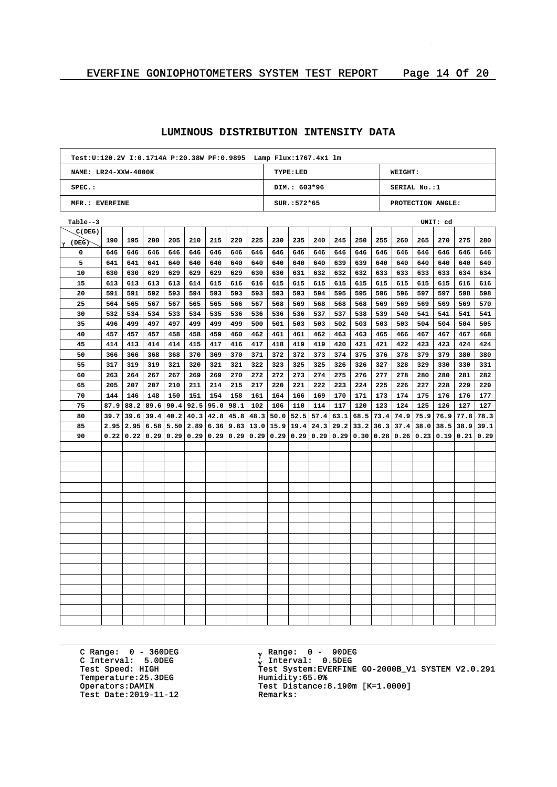| Test: U:120.2V I: 0.1714A P: 20.38W PF: 0.9895    Lamp Flux: 1767.4x1    lm |      |      |      |      |      |     |                      |     |                           |                 |      |      |                                           |      |                |      |                   |      |      |
|-----------------------------------------------------------------------------|------|------|------|------|------|-----|----------------------|-----|---------------------------|-----------------|------|------|-------------------------------------------|------|----------------|------|-------------------|------|------|
| NAME: LR24-XXW-4000K                                                        |      |      |      |      |      |     |                      |     |                           | <b>TYPE:LED</b> |      |      |                                           |      | <b>WEIGHT:</b> |      |                   |      |      |
| $SPEC.$ :                                                                   |      |      |      |      |      |     |                      |     |                           | DIM.: 603*96    |      |      |                                           |      | SERIAL No.:1   |      |                   |      |      |
| MFR.: EVERFINE                                                              |      |      |      |      |      |     |                      |     |                           | SUR.: 572*65    |      |      |                                           |      |                |      | PROTECTION ANGLE: |      |      |
| Table--3                                                                    |      |      |      |      |      |     |                      |     |                           |                 |      |      |                                           |      |                |      | UNIT: cd          |      |      |
| C(DEG)                                                                      |      |      |      |      |      |     |                      |     |                           |                 |      |      |                                           |      |                |      |                   |      |      |
| $\gamma$ (DEG)                                                              | 190  | 195  | 200  | 205  | 210  | 215 | 220                  | 225 | 230                       | 235             | 240  | 245  | 250                                       | 255  | 260            | 265  | 270               | 275  | 280  |
| 0                                                                           | 646  | 646  | 646  | 646  | 646  | 646 | 646                  | 646 | 646                       | 646             | 646  | 646  | 646                                       | 646  | 646            | 646  | 646               | 646  | 646  |
| 5                                                                           | 641  | 641  | 641  | 640  | 640  | 640 | 640                  | 640 | 640                       | 640             | 640  | 639  | 639                                       | 640  | 640            | 640  | 640               | 640  | 640  |
| 10                                                                          | 630  | 630  | 629  | 629  | 629  | 629 | 629                  | 630 | 630                       | 631             | 632  | 632  | 632                                       | 633  | 633            | 633  | 633               | 634  | 634  |
| 15                                                                          | 613  | 613  | 613  | 613  | 614  | 615 | 616                  | 616 | 615                       | 615             | 615  | 615  | 615                                       | 615  | 615            | 615  | 615               | 616  | 616  |
| 20                                                                          | 591  | 591  | 592  | 593  | 594  | 593 | 593                  | 593 | 593                       | 593             | 594  | 595  | 595                                       | 596  | 596            | 597  | 597               | 598  | 598  |
| 25                                                                          | 564  | 565  | 567  | 567  | 565  | 565 | 566                  | 567 | 568                       | 569             | 568  | 568  | 568                                       | 569  | 569            | 569  | 569               | 569  | 570  |
| 30                                                                          | 532  | 534  | 534  | 533  | 534  | 535 | 536                  | 536 | 536                       | 536             | 537  | 537  | 538                                       | 539  | 540            | 541  | 541               | 541  | 541  |
| 35                                                                          | 496  | 499  | 497  | 497  | 499  | 499 | 499                  | 500 | 501                       | 503             | 503  | 502  | 503                                       | 503  | 503            | 504  | 504               | 504  | 505  |
| 40                                                                          | 457  | 457  | 457  | 458  | 458  | 459 | 460                  | 462 | 461                       | 461             | 462  | 463  | 463                                       | 465  | 466            | 467  | 467               | 467  | 468  |
| 45                                                                          | 414  | 413  | 414  | 414  | 415  | 417 | 416                  | 417 | 418                       | 419             | 419  | 420  | 421                                       | 421  | 422            | 423  | 423               | 424  | 424  |
| 50                                                                          | 366  | 366  | 368  | 368  | 370  | 369 | 370                  | 371 | 372                       | 372             | 373  | 374  | 375                                       | 376  | 378            | 379  | 379               | 380  | 380  |
| 55                                                                          | 317  | 319  | 319  | 321  | 320  | 321 | 321                  | 322 | 323                       | 325             | 325  | 326  | 326                                       | 327  | 328            | 329  | 330               | 330  | 331  |
| 60                                                                          | 263  | 264  | 267  | 267  | 269  | 269 | 270                  | 272 | 272                       | 273             | 274  | 275  | 276                                       | 277  | 278            | 280  | 280               | 281  | 282  |
| 65                                                                          | 205  | 207  | 207  | 210  | 211  | 214 | 215                  | 217 | 220                       | 221             | 222  | 223  | 224                                       | 225  | 226            | 227  | 228               | 229  | 229  |
| 70                                                                          | 144  | 146  | 148  | 150  | 151  | 154 | 158                  | 161 | 164                       | 166             | 169  | 170  | 171                                       | 173  | 174            | 175  | 176               | 176  | 177  |
| 75                                                                          | 87.9 | 88.2 | 89.6 | 90.4 | 92.5 |     | $95.0$   98.1        | 102 | 106                       | 110             | 114  | 117  | 120                                       | 123  | 124            | 125  | 126               | 127  | 127  |
| 80                                                                          | 39.7 | 39.6 | 39.4 | 40.2 | 40.3 |     | $42.8$   45.8   48.3 |     | 50.0                      | 52.5            | 57.4 | 63.1 | 68.5                                      | 73.4 | 74.9           | 75.9 | 76.9              | 77.8 | 78.3 |
| 85                                                                          | 2.95 | 2.95 | 6.58 | 5.50 | 2.89 |     | $6.36$   9.83   13.0 |     | 15.9                      | 19.4            | 24.3 | 29.2 | 33.2                                      |      | $36.3$ 37.4    | 38.0 | 38.5              | 38.9 | 39.1 |
| 90                                                                          | 0.22 | 0.22 | 0.29 | 0.29 | 0.29 |     |                      |     | 0.29   0.29   0.29   0.29 | 0.29            | 0.29 |      | $0.29$   0.30   0.28   0.26   0.23   0.19 |      |                |      |                   | 0.21 | 0.29 |
|                                                                             |      |      |      |      |      |     |                      |     |                           |                 |      |      |                                           |      |                |      |                   |      |      |
|                                                                             |      |      |      |      |      |     |                      |     |                           |                 |      |      |                                           |      |                |      |                   |      |      |
|                                                                             |      |      |      |      |      |     |                      |     |                           |                 |      |      |                                           |      |                |      |                   |      |      |
|                                                                             |      |      |      |      |      |     |                      |     |                           |                 |      |      |                                           |      |                |      |                   |      |      |
|                                                                             |      |      |      |      |      |     |                      |     |                           |                 |      |      |                                           |      |                |      |                   |      |      |
|                                                                             |      |      |      |      |      |     |                      |     |                           |                 |      |      |                                           |      |                |      |                   |      |      |
|                                                                             |      |      |      |      |      |     |                      |     |                           |                 |      |      |                                           |      |                |      |                   |      |      |
|                                                                             |      |      |      |      |      |     |                      |     |                           |                 |      |      |                                           |      |                |      |                   |      |      |
|                                                                             |      |      |      |      |      |     |                      |     |                           |                 |      |      |                                           |      |                |      |                   |      |      |
|                                                                             |      |      |      |      |      |     |                      |     |                           |                 |      |      |                                           |      |                |      |                   |      |      |
|                                                                             |      |      |      |      |      |     |                      |     |                           |                 |      |      |                                           |      |                |      |                   |      |      |
|                                                                             |      |      |      |      |      |     |                      |     |                           |                 |      |      |                                           |      |                |      |                   |      |      |
|                                                                             |      |      |      |      |      |     |                      |     |                           |                 |      |      |                                           |      |                |      |                   |      |      |
|                                                                             |      |      |      |      |      |     |                      |     |                           |                 |      |      |                                           |      |                |      |                   |      |      |
|                                                                             |      |      |      |      |      |     |                      |     |                           |                 |      |      |                                           |      |                |      |                   |      |      |
|                                                                             |      |      |      |      |      |     |                      |     |                           |                 |      |      |                                           |      |                |      |                   |      |      |
|                                                                             |      |      |      |      |      |     |                      |     |                           |                 |      |      |                                           |      |                |      |                   |      |      |
|                                                                             |      |      |      |      |      |     |                      |     |                           |                 |      |      |                                           |      |                |      |                   |      |      |

C Range: 0 - 360DEG C Interval: 5.0DEG Temperature: 25.3DEG<br>Operators: DAMIN Test Date:  $2019-11-12$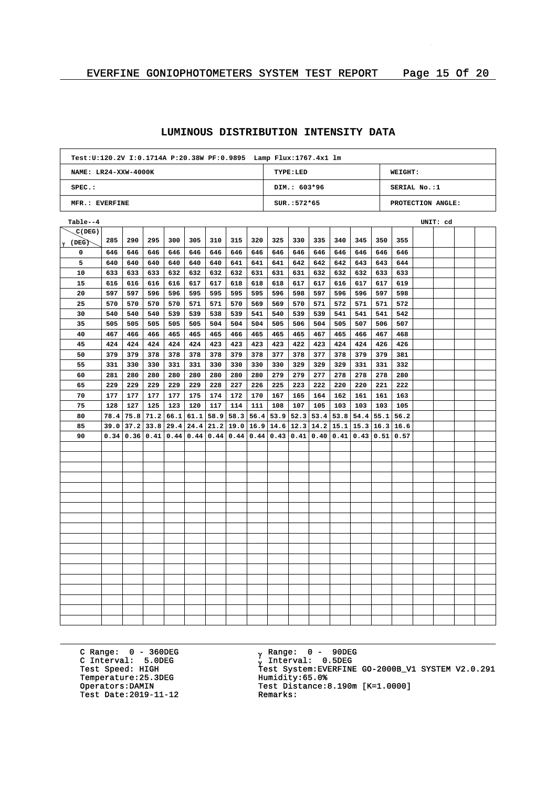| Test: U:120.2V I:0.1714A P:20.38W PF:0.9895 Lamp Flux: 1767.4x1 lm |      |             |      |      |                      |     |                                    |     |           |                |      |      |                                                                       |     |                   |          |  |
|--------------------------------------------------------------------|------|-------------|------|------|----------------------|-----|------------------------------------|-----|-----------|----------------|------|------|-----------------------------------------------------------------------|-----|-------------------|----------|--|
| NAME: LR24-XXW-4000K                                               |      |             |      |      |                      |     |                                    |     |           | TYPE:LED       |      |      |                                                                       |     | <b>WEIGHT:</b>    |          |  |
| $SPEC.$ :                                                          |      |             |      |      |                      |     |                                    |     |           | DIM.: 603*96   |      |      |                                                                       |     | SERIAL No.:1      |          |  |
| MFR.: EVERFINE                                                     |      |             |      |      |                      |     |                                    |     |           | $SUR.: 572*65$ |      |      |                                                                       |     | PROTECTION ANGLE: |          |  |
| Table--4                                                           |      |             |      |      |                      |     |                                    |     |           |                |      |      |                                                                       |     |                   | UNIT: cd |  |
| C(DEG)                                                             |      |             |      |      |                      |     |                                    |     |           |                |      |      |                                                                       |     |                   |          |  |
| $\gamma$ (DEG)                                                     | 285  | 290         | 295  | 300  | 305                  | 310 | 315                                | 320 | 325       | 330            | 335  | 340  | 345                                                                   | 350 | 355               |          |  |
| 0                                                                  | 646  | 646         | 646  | 646  | 646                  | 646 | 646                                | 646 | 646       | 646            | 646  | 646  | 646                                                                   | 646 | 646               |          |  |
| 5                                                                  | 640  | 640         | 640  | 640  | 640                  | 640 | 641                                | 641 | 641       | 642            | 642  | 642  | 643                                                                   | 643 | 644               |          |  |
| 10                                                                 | 633  | 633         | 633  | 632  | 632                  | 632 | 632                                | 631 | 631       | 631            | 632  | 632  | 632                                                                   | 633 | 633               |          |  |
| 15                                                                 | 616  | 616         | 616  | 616  | 617                  | 617 | 618                                | 618 | 618       | 617            | 617  | 616  | 617                                                                   | 617 | 619               |          |  |
| 20                                                                 | 597  | 597         | 596  | 596  | 595                  | 595 | 595                                | 595 | 596       | 598            | 597  | 596  | 596                                                                   | 597 | 598               |          |  |
| 25                                                                 | 570  | 570         | 570  | 570  | 571                  | 571 | 570                                | 569 | 569       | 570            | 571  | 572  | 571                                                                   | 571 | 572               |          |  |
| 30                                                                 | 540  | 540         | 540  | 539  | 539                  | 538 | 539                                | 541 | 540       | 539            | 539  | 541  | 541                                                                   | 541 | 542               |          |  |
| 35                                                                 | 505  | 505         | 505  | 505  | 505                  | 504 | 504                                | 504 | 505       | 506            | 504  | 505  | 507                                                                   | 506 | 507               |          |  |
| 40                                                                 | 467  | 466         | 466  | 465  | 465                  | 465 | 466                                | 465 | 465       | 465            | 467  | 465  | 466                                                                   | 467 | 468               |          |  |
| 45                                                                 | 424  | 424         | 424  | 424  | 424                  | 423 | 423                                | 423 | 423       | 422            | 423  | 424  | 424                                                                   | 426 | 426               |          |  |
| 50                                                                 | 379  | 379         | 378  | 378  | 378                  | 378 | 379                                | 378 | 377       | 378            | 377  | 378  | 379                                                                   | 379 | 381               |          |  |
| 55                                                                 | 331  | 330         | 330  | 331  | 331                  | 330 | 330                                | 330 | 330       | 329            | 329  | 329  | 331                                                                   | 331 | 332               |          |  |
| 60                                                                 | 281  | 280         | 280  | 280  | 280                  | 280 | 280                                | 280 | 279       | 279            | 277  | 278  | 278                                                                   | 278 | 280               |          |  |
| 65                                                                 | 229  | 229         | 229  | 229  | 229                  | 228 | 227                                | 226 | 225       | 223            | 222  | 220  | 220                                                                   | 221 | 222               |          |  |
| 70                                                                 | 177  | 177         | 177  | 177  | 175                  | 174 | 172                                | 170 | 167       | 165            | 164  | 162  | 161                                                                   | 161 | 163               |          |  |
| 75                                                                 | 128  | 127         | 125  | 123  | 120                  | 117 | 114                                | 111 | 108       | 107            | 105  | 103  | 103                                                                   | 103 | 105               |          |  |
| 80                                                                 | 78.4 | 75.8        | 71.2 | 66.1 | 61.1                 |     | $58.9$   58.3   56.4   53.9   52.3 |     |           |                |      |      | $53.4$ 53.8 54.4 55.1 56.2                                            |     |                   |          |  |
| 85                                                                 |      | $39.0$ 37.2 |      |      | $33.8$   29.4   24.4 |     |                                    |     |           |                |      |      | $21.2$   19.0   16.9   14.6   12.3   14.2   15.1   15.3   16.3   16.6 |     |                   |          |  |
| 90                                                                 | 0.34 | 0.36        | 0.41 |      | $0.44$   $0.44$      |     | 0.44 0.44                          |     | 0.44 0.43 | 0.41           | 0.40 | 0.41 | 0.43 0.51                                                             |     | 0.57              |          |  |
|                                                                    |      |             |      |      |                      |     |                                    |     |           |                |      |      |                                                                       |     |                   |          |  |
|                                                                    |      |             |      |      |                      |     |                                    |     |           |                |      |      |                                                                       |     |                   |          |  |
|                                                                    |      |             |      |      |                      |     |                                    |     |           |                |      |      |                                                                       |     |                   |          |  |
|                                                                    |      |             |      |      |                      |     |                                    |     |           |                |      |      |                                                                       |     |                   |          |  |
|                                                                    |      |             |      |      |                      |     |                                    |     |           |                |      |      |                                                                       |     |                   |          |  |
|                                                                    |      |             |      |      |                      |     |                                    |     |           |                |      |      |                                                                       |     |                   |          |  |
|                                                                    |      |             |      |      |                      |     |                                    |     |           |                |      |      |                                                                       |     |                   |          |  |
|                                                                    |      |             |      |      |                      |     |                                    |     |           |                |      |      |                                                                       |     |                   |          |  |
|                                                                    |      |             |      |      |                      |     |                                    |     |           |                |      |      |                                                                       |     |                   |          |  |
|                                                                    |      |             |      |      |                      |     |                                    |     |           |                |      |      |                                                                       |     |                   |          |  |
|                                                                    |      |             |      |      |                      |     |                                    |     |           |                |      |      |                                                                       |     |                   |          |  |
|                                                                    |      |             |      |      |                      |     |                                    |     |           |                |      |      |                                                                       |     |                   |          |  |
|                                                                    |      |             |      |      |                      |     |                                    |     |           |                |      |      |                                                                       |     |                   |          |  |
|                                                                    |      |             |      |      |                      |     |                                    |     |           |                |      |      |                                                                       |     |                   |          |  |
|                                                                    |      |             |      |      |                      |     |                                    |     |           |                |      |      |                                                                       |     |                   |          |  |
|                                                                    |      |             |      |      |                      |     |                                    |     |           |                |      |      |                                                                       |     |                   |          |  |
|                                                                    |      |             |      |      |                      |     |                                    |     |           |                |      |      |                                                                       |     |                   |          |  |
|                                                                    |      |             |      |      |                      |     |                                    |     |           |                |      |      |                                                                       |     |                   |          |  |

C Range: 0 - 360DEG C Interval: 5.0DEG Temperature: 25.3DEG<br>Operators: DAMIN Test Date:  $2019-11-12$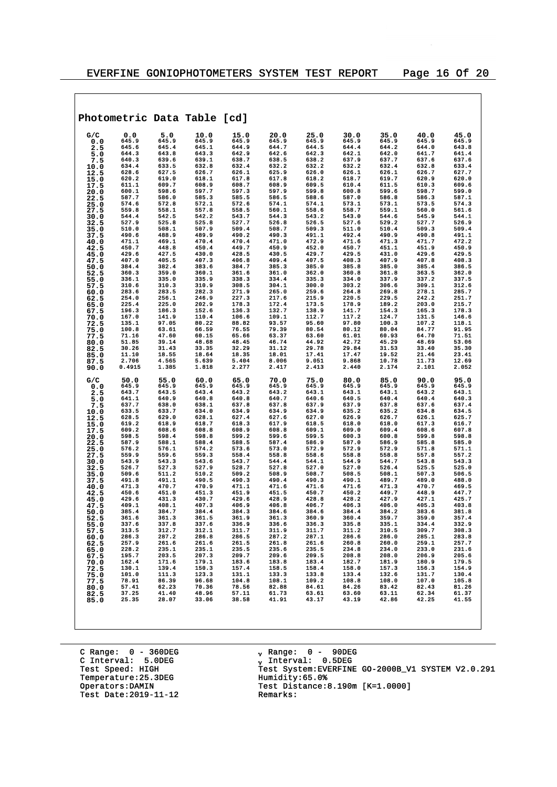$\overline{\phantom{0}}$ 

|              |                |                | Photometric Data Table [cd] |                |                |                |                |                |                |                |
|--------------|----------------|----------------|-----------------------------|----------------|----------------|----------------|----------------|----------------|----------------|----------------|
|              |                |                |                             |                |                |                |                |                |                |                |
| G/C<br>0.0   | 0.0<br>645.9   | 5.0<br>645.9   | 10.0<br>645.9               | 15.0<br>645.9  | 20.0<br>645.9  | 25.0<br>645.9  | 30.0<br>645.9  | 35.0<br>645.9  | 40.0<br>645.9  | 45.0<br>645.9  |
| 2.5          | 645.6          | 645.4          | 645.1                       | 644.9          | 644.7          | 644.5          | 644.4          | 644.2          | 644.0          | 643.8          |
| 5.0          | 644.3          | 643.8          | 643.3                       | 642.9          | 642.6          | 642.3          | 642.1          | 642.0          | 641.7          | 641.4          |
| 7.5          | 640.3          | 639.6          | 639.1                       | 638.7          | 638.5          | 638.2          | 637.9          | 637.7          | 637.6          | 637.6          |
| 10.0         | 634.4          | 633.5          | 632.8                       | 632.4          | 632.2          | 632.2          | 632.2          | 632.4          | 632.8          | 633.4          |
| 12.5         | 628.6          | 627.5          | 626.7                       | 626.1          | 625.9          | 626.0          | 626.1          | 626.1          | 626.7          | 627.7          |
| 15.0         | 620.2          | 619.0          | 618.1                       | 617.8          | 617.8          | 618.2          | 618.7          | 619.7          | 620.9          | 620.0          |
| 17.5         | 611.1<br>600.1 | 609.7<br>598.6 | 608.9<br>597.7              | 608.7<br>597.3 | 608.9<br>597.9 | 609.5<br>599.8 | 610.4<br>600.8 | 611.5<br>599.6 | 610.3<br>598.7 | 609.6<br>599.0 |
| 20.0<br>22.5 | 587.7          | 586.0          | 585.3                       | 585.5          | 586.5          | 588.6          | 587.0          | 586.8          | 586.3          | 587.1          |
| 25.0         | 574.6          | 572.8          | 572.1                       | 572.6          | 574.1          | 574.1          | 573.1          | 573.1          | 573.5          | 574.3          |
| 27.5         | 559.8          | 558.1          | 557.8                       | 558.5          | 560.1          | 558.6          | 558.7          | 559.1          | 560.0          | 561.6          |
| 30.0         | 544.4          | 542.5          | 542.2                       | 543.7          | 544.3          | 543.2          | 543.0          | 544.6          | 545.9          | 544.1          |
| 32.5         | 527.9          | 525.8          | 525.8                       | 527.7          | 526.8          | 526.5          | 527.6          | 529.2          | 527.7          | 526.9          |
| 35.0         | 510.0          | 508.1          | 507.9                       | 509.4          | 508.7          | 509.3          | 511.0          | 510.4          | 509.3          | 509.4          |
| 37.5         | 490.6<br>471.1 | 488.9<br>469.1 | 489.9<br>470.4              | 490.2<br>470.4 | 490.3<br>471.0 | 491.1<br>472.9 | 492.4<br>471.6 | 490.9<br>471.3 | 490.8<br>471.7 | 491.1<br>472.2 |
| 40.0<br>42.5 | 450.7          | 448.8          | 450.4                       | 449.7          | 450.9          | 452.0          | 450.7          | 451.1          | 451.9          | 450.9          |
| 45.0         | 429.6          | 427.5          | 430.0                       | 428.5          | 430.5          | 429.7          | 429.5          | 431.0          | 429.6          | 429.5          |
| 47.5         | 407.0          | 405.5          | 407.3                       | 406.8          | 409.4          | 407.5          | 408.3          | 407.9          | 407.8          | 408.3          |
| 50.0         | 384.4          | 382.4          | 383.6                       | 384.7          | 385.3          | 385.0          | 385.8          | 385.0          | 385.4          | 386.5          |
| 52.5         | 360.3          | 359.0          | 360.1                       | 361.6          | 361.0          | 362.0          | 360.8          | 361.8          | 363.5          | 362.0          |
| 55.0         | 336.1<br>310.6 | 335.0<br>310.3 | 335.9<br>310.9              | 338.3<br>308.5 | 334.4<br>304.1 | 335.3<br>300.0 | 334.0<br>303.2 | 337.9<br>306.6 | 337.2<br>309.1 | 337.5<br>312.6 |
| 57.5<br>60.0 | 283.6          | 283.5          | 282.3                       | 271.9          | 265.0          | 259.6          | 264.8          | 269.8          | 278.1          | 285.7          |
| 62.5         | 254.0          | 256.1          | 246.9                       | 227.3          | 217.6          | 215.9          | 220.5          | 229.5          | 242.2          | 251.7          |
| 65.0         | 225.4          | 225.0          | 202.9                       | 178.3          | 172.4          | 173.5          | 178.9          | 189.2          | 203.0          | 215.7          |
| 67.5         | 196.3          | 186.3          | 152.6                       | 136.3          | 132.7          | 138.9          | 141.7          | 154.3          | 165.3          | 178.3          |
| 70.0         | 167.0          | 141.9          | 110.4                       | 106.6          | 109.1          | 112.7          | 117.2          | 124.7          | 131.5          | 146.6          |
| 72.5         | 135.1<br>100.8 | 97.05<br>63.61 | 80.22<br>66.59              | 88.82<br>76.55 | 93.57<br>79.39 | 95.60<br>80.54 | 97.80<br>80.12 | 100.3<br>80.04 | 107.2<br>84.77 | 118.1<br>91.95 |
| 75.0<br>77.5 | 71.16          | 47.60          | 60.15                       | 65.66          | 63.37          | 63.60          | 61.01          | 60.93          | 64.70          | 71.51          |
| 80.0         | 51.85          | 39.14          | 48.68                       | 48.45          | 46.74          | 44.92          | 42.72          | 45.29          | 48.69          | 53.06          |
| 82.5         | 30.26          | 31.43          | 33.35                       | 32.29          | 31.12          | 29.78          | 29.84          | 31.53          | 33.40          | 35.30          |
| 85.0         | 11.10          | 18.55          | 18.64                       | 18.35          | 18.01          | 17.41          | 17.47          | 19.52          | 21.46          | 23.41          |
| 87.5         | 2.706          | 4.565          | 5.639                       | 5.404          | 8.006          | 9.051          | 9.868          | 10.78          | 11.73          | 12.69          |
| 90.0         | 0.4915         | 1.385          | 1.818                       | 2.277          | 2.417          | 2.413          | 2.440          | 2.174          | 2.101          | 2.052          |
| G/C          | 50.0           | 55.0           | 60.0                        | 65.0           | 70.0           | 75.0           | 80.0           | 85.0           | 90.0           | 95.0           |
| 0.0          | 645.9          | 645.9          | 645.9                       | 645.9          | 645.9          | 645.9          | 645.9          | 645.9          | 645.9          | 645.9          |
| 2.5          | 643.7          | 643.5          | 643.4                       | 643.2          | 643.2          | 643.1          | 643.1          | 643.1          | 643.2          | 643.1          |
| 5.0          | 641.1          | 640.9          | 640.8                       | 640.8          | 640.7          | 640.6          | 640.5          | 640.4          | 640.4          | 640.3          |
| 7.5          | 637.7<br>633.5 | 638.0<br>633.7 | 638.1<br>634.0              | 637.8<br>634.9 | 637.8          | 637.9<br>634.9 | 637.9<br>635.2 | 637.8<br>635.2 | 637.6<br>634.8 | 637.4<br>634.5 |
| 10.0<br>12.5 | 628.5          | 629.0          | 628.1                       | 627.4          | 634.9<br>627.6 | 627.0          | 626.9          | 626.7          | 626.1          | 625.7          |
| 15.0         | 619.2          | 618.9          | 618.7                       | 618.3          | 617.9          | 618.5          | 618.0          | 618.0          | 617.3          | 616.7          |
| 17.5         | 609.2          | 608.6          | 608.8                       | 608.9          | 608.8          | 609.1          | 609.0          | 609.4          | 608.6          | 607.8          |
| 20.0         | 598.5          | 598.4          | 598.8                       | 599.2          | 599.6          | 599.5          | 600.3          | 600.8          | 599.8          | 598.8          |
| 22.5         | 587.9          | 588.1          | 588.4                       | 588.5          | 587.4          | 586.9          | 587.0          | 586.9          | 585.8          | 585.0          |
| 25.0         | 576.2<br>559.9 | 576.1<br>559.6 | 574.2<br>559.3              | 573.6<br>558.4 | 573.0<br>558.8 | 572.9<br>558.6 | 572.9<br>558.8 | 572.9<br>558.8 | 571.8<br>557.8 | 571.1<br>557.2 |
| 27.5<br>30.0 | 543.9          | 543.3          | 543.6                       | 543.7          | 544.4          | 544.1          | 544.9          | 544.7          | 543.8          | 543.3          |
| 32.5         | 526.7          | 527.3          | 527.9                       | 528.7          | 527.8          | 527.0          | 527.0          | 526.4          | 525.5          | 525.0          |
| 35.0         | 509.6          | 511.2          | 510.2                       | 509.2          | 508.9          | 508.7          | 508.5          | 508.1          | 507.3          | 506.5          |
| 37.5         | 491.8          | 491.1          | 490.5                       | 490.3          | 490.4          | 490.3          | 490.1          | 489.7          | 489.0          | 488.0          |
| 40.0         | 471.3          | 470.7          | 470.9                       | 471.1<br>451.9 | 471.6          | 471.6          | 471.6          | 471.3          | 470.7          | 469.5          |
| 42.5         | 450.6<br>429.6 | 451.0<br>431.3 | 451.3<br>430.7              | 429.6          | 451.5<br>428.9 | 450.7<br>428.8 | 450.2<br>428.2 | 449.7<br>427.9 | 448.9<br>427.1 | 447.7<br>425.7 |
| 45.0<br>47.5 | 409.1          | 408.1          | 407.3                       | 406.9          | 406.8          | 406.7          | 406.3          | 406.0          | 405.3          | 403.8          |
| 50.0         | 385.4          | 384.7          | 384.4                       | 384.3          | 384.6          | 384.6          | 384.4          | 384.2          | 383.6          | 381.8          |
| 52.5         | 361.6          | 361.3          | 361.5                       | 361.9          | 361.3          | 360.9          | 360.4          | 359.7          | 359.0          | 357.4          |
| 55.0         | 337.6          | 337.8          | 337.6                       | 336.9          | 336.6          | 336.3          | 335.8          | 335.1          | 334.4          | 332.9          |
| 57.5         | 313.5          | 312.7          | 312.1                       | 311.7          | 311.9          | 311.7          | 311.2          | 310.5          | 309.7          | 308.3          |
| 60.0         | 286.3<br>257.9 | 287.2<br>261.6 | 286.8<br>261.6              | 286.5<br>261.5 | 287.2<br>261.8 | 287.1<br>261.6 | 286.6<br>260.8 | 286.0<br>260.0 | 285.1<br>259.1 | 283.8<br>257.7 |
| 62.5<br>65.0 | 228.2          | 235.1          | 235.1                       | 235.5          | 235.6          | 235.5          | 234.8          | 234.0          | 233.0          | 231.6          |
| 67.5         | 195.7          | 203.5          | 207.3                       | 209.7          | 209.6          | 209.5          | 208.8          | 208.0          | 206.9          | 205.6          |
| 70.0         | 162.4          | 171.6          | 179.1                       | 183.6          | 183.8          | 183.4          | 182.7          | 181.9          | 180.9          | 179.5          |
| 72.5         | 130.1          | 139.4          | 150.3                       | 157.4          | 158.5          | 158.4          | 158.0          | 157.3          | 156.3          | 154.9          |
| 75.0         | 101.0<br>78.91 | 111.3<br>86.39 | 123.3<br>96.68              | 131.1<br>104.8 | 133.3<br>108.1 | 133.8<br>109.2 | 133.4<br>108.8 | 132.6<br>108.0 | 131.7<br>107.0 | 130.4<br>105.8 |
| 77.5<br>80.0 | 57.41          | 62.23          | 70.36                       | 78.56          | 82.88          | 84.61          | 84.26          | 83.42          | 82.43          | 81.26          |
| 82.5         | 37.25          | 41.40          | 48.96                       | 57.11          | 61.73          | 63.61          | 63.60          | 63.11          | 62.34          | 61.37          |
| 85.0         | 25.35          | 28.07          | 33.06                       | 38.58          | 41.91          | 43.17          | 43.19          | 42.86          | 42.25          | 41.55          |
|              |                |                |                             |                |                |                |                |                |                |                |

C Range: 0 - 360DEG C Interval: 5.0DEG Temperature: 25.3DEG<br>Operators:DAMIN Test Date:  $2019-11-12$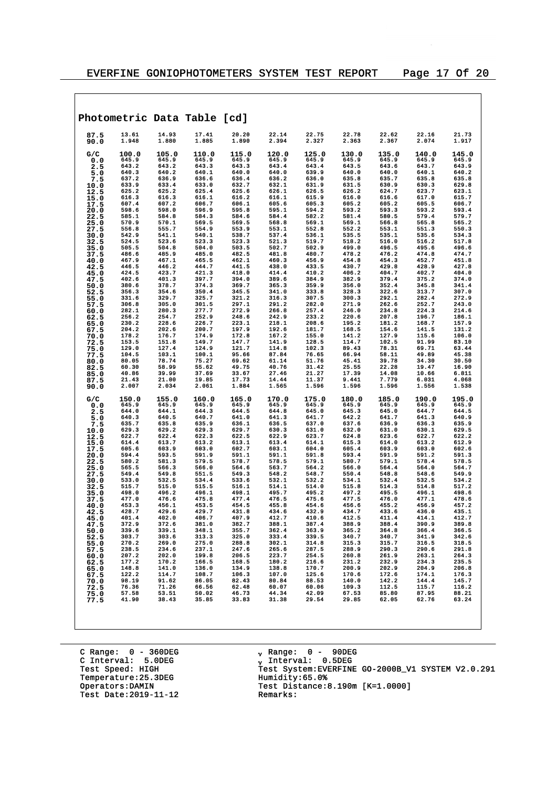|              |                |                | Photometric Data Table [cd] |                |                |                |                |                |                |                |
|--------------|----------------|----------------|-----------------------------|----------------|----------------|----------------|----------------|----------------|----------------|----------------|
| 87.5<br>90.0 | 13.61<br>1.948 | 14.93<br>1.880 | 17.41<br>1.885              | 20.20<br>1.890 | 22.14<br>2.394 | 22.75<br>2.327 | 22.78<br>2.363 | 22.62<br>2.367 | 22.16<br>2.074 | 21.73<br>1.917 |
| G/C<br>0.0   | 100.0<br>645.9 | 105.0<br>645.9 | 110.0<br>645.9              | 115.0<br>645.9 | 120.0<br>645.9 | 125.0<br>645.9 | 130.0<br>645.9 | 135.0<br>645.9 | 140.0<br>645.9 | 145.0<br>645.9 |
| 2.5          | 643.2          | 643.2          | 643.3                       | 643.3          | 643.4          | 643.4          | 643.5          | 643.6          | 643.7          | 643.9          |
| 5.0          | 640.3          | 640.2          | 640.1                       | 640.0          | 640.0          | 639.9          | 640.0          | 640.0          | 640.1          | 640.2          |
| 7.5          | 637.2<br>633.9 | 636.9<br>633.4 | 636.6                       | 636.4<br>632.7 | 636.2<br>632.1 | 636.0<br>631.9 | 635.8<br>631.5 | 635.7<br>630.9 | 635.8<br>630.3 | 635.8<br>629.8 |
| 10.0<br>12.5 | 625.2          | 625.2          | 633.0<br>625.4              | 625.6          | 626.1          | 626.5          | 626.2          | 624.7          | 623.7          | 623.1          |
| 15.0         | 616.3          | 616.3          | 616.1                       | 616.2          | 616.1          | 615.9          | 616.0          | 616.6          | 617.0          | 615.7          |
| 17.5         | 607.4          | 607.2          | 606.7                       | 606.1          | 605.6          | 605.3          | 605.2          | 605.2          | 605.5          | 606.7          |
| 20.0         | 598.6          | 598.0          | 596.9                       | 595.8          | 595.1          | 594.2          | 593.2          | 593.3          | 593.2          | 593.4          |
| 22.5         | 585.1<br>570.9 | 584.8<br>570.1 | 584.3<br>569.5              | 584.6<br>569.5 | 584.4<br>568.8 | 582.2<br>569.1 | 581.4<br>569.1 | 580.5<br>566.8 | 579.4<br>565.8 | 579.7<br>565.2 |
| 25.0<br>27.5 | 556.8          | 555.7          | 554.9                       | 553.9          | 553.1          | 552.8          | 552.2          | 553.1          | 551.3          | 550.3          |
| 30.0         | 542.9          | 541.1          | 540.1                       | 538.7          | 537.4          | 536.1          | 535.5          | 535.1          | 535.6          | 534.3          |
| 32.5         | 524.5          | 523.6          | 523.3                       | 523.3          | 521.3          | 519.7          | 518.2          | 516.0          | 516.2          | 517.8          |
| 35.0         | 505.5          | 504.8          | 504.0                       | 503.5          | 502.7          | 502.9          | 499.0          | 496.5          | 495.6          | 496.6          |
| 37.5         | 486.6<br>467.9 | 485.9<br>467.1 | 485.0<br>465.5              | 482.5<br>462.1 | 481.8<br>460.3 | 480.7<br>456.9 | 478.2<br>454.8 | 476.2<br>454.3 | 474.8<br>452.7 | 474.7<br>451.8 |
| 40.0<br>42.5 | 446.5          | 446.2          | 444.7                       | 441.5          | 438.0          | 433.5          | 430.7          | 429.8          | 428.9          | 427.8          |
| 45.0         | 424.5          | 423.7          | 421.3                       | 418.0          | 414.4          | 410.2          | 406.2          | 404.7          | 402.7          | 404.0          |
| 47.5         | 402.6          | 401.3          | 397.7                       | 394.0          | 389.6          | 384.9          | 382.9          | 379.4          | 375.2          | 374.0          |
| 50.0         | 380.6          | 378.7          | 374.3                       | 369.7          | 365.3          | 359.9          | 356.0          | 352.4          | 345.8          | 341.4          |
| 52.5<br>55.0 | 356.3<br>331.6 | 354.6<br>329.7 | 350.4<br>325.7              | 345.5<br>321.2 | 341.0<br>316.3 | 333.8<br>307.5 | 328.3<br>300.3 | 322.6<br>292.1 | 313.7<br>282.4 | 307.0<br>272.9 |
| 57.5         | 306.8          | 305.0          | 301.5                       | 297.1          | 291.2          | 282.0          | 271.9          | 262.6          | 252.7          | 243.0          |
| 60.0         | 282.1          | 280.3          | 277.7                       | 272.9          | 266.8          | 257.4          | 246.0          | 234.8          | 224.3          | 214.6          |
| 62.5         | 256.2          | 254.7          | 252.9                       | 248.6          | 242.9          | 233.2          | 220.6          | 207.8          | 196.7          | 186.1          |
| 65.0         | 230.2<br>204.2 | 228.6<br>202.6 | 226.7<br>200.7              | 223.1<br>197.9 | 218.1<br>192.6 | 208.6<br>181.7 | 195.2<br>168.5 | 181.2<br>154.6 | 168.7<br>141.5 | 157.9<br>131.2 |
| 67.5<br>70.0 | 178.2          | 176.7          | 174.9                       | 172.8          | 167.2          | 155.0          | 141.2          | 127.9          | 115.6          | 106.0          |
| 72.5         | 153.5          | 151.8          | 149.7                       | 147.7          | 141.9          | 128.5          | 114.7          | 102.5          | 91.99          | 83.10          |
| 75.0         | 129.0          | 127.4          | 124.9                       | 121.7          | 114.8          | 102.3          | 89.43          | 78.31          | 69.71          | 63.44          |
| 77.5         | 104.5          | 103.1          | 100.1                       | 95.66          | 87.84          | 76.65          | 66.94          | 58.11          | 49.89          | 45.38          |
| 80.0         | 80.05<br>60.30 | 78.74<br>58.99 | 75.27<br>55.62              | 69.62<br>49.75 | 61.14<br>40.76 | 51.76<br>31.42 | 45.41<br>25.55 | 39.78<br>22.28 | 34.30<br>19.47 | 30.50<br>16.90 |
| 82.5<br>85.0 | 40.86          | 39.99          | 37.69                       | 33.67          | 27.46          | 21.27          | 17.39          | 14.08          | 10.66          | 6.811          |
| 87.5         | 21.43          | 21.00          | 19.85                       | 17.73          | 14.44          | 11.37          | 9.441          | 7.779          | 6.031          | 4.068          |
| 90.0         | 2.007          | 2.034          | 2.061                       | 1.884          | 1.565          | 1.596          | 1.596          | 1.596          | 1.556          | 1.538          |
| G/C          | 150.0          | 155.0          | 160.0                       | 165.0          | 170.0          | 175.0          | 180.0          | 185.0          | 190.0          | 195.0          |
| 0.0<br>2.5   | 645.9<br>644.0 | 645.9<br>644.1 | 645.9<br>644.3              | 645.9<br>644.5 | 645.9<br>644.8 | 645.9<br>645.0 | 645.9<br>645.3 | 645.9<br>645.0 | 645.9<br>644.7 | 645.9<br>644.5 |
| 5.0          | 640.3          | 640.5          | 640.7                       | 641.0          | 641.3          | 641.7          | 642.2          | 641.7          | 641.3          | 640.9          |
| 7.5          | 635.7          | 635.8          | 635.9                       | 636.1          | 636.5          | 637.0          | 637.6          | 636.9          | 636.3          | 635.9          |
| 10.0         | 629.3          | 629.2          | 629.3                       | 629.7          | 630.3          | 631.0          | 632.0          | 631.0          | 630.1          | 629.5          |
| 12.5         | 622.7<br>614.4 | 622.4<br>613.7 | 622.3<br>613.2              | 622.5<br>613.1 | 622.9<br>613.4 | 623.7<br>614.1 | 624.8<br>615.3 | 623.6<br>614.0 | 622.7<br>613.2 | 622.2<br>612.9 |
| 15.0<br>17.5 | 605.6          | 603.9          | 603.0                       | 602.7          | 603.1          | 604.0          | 605.4          | 603.9          | 603.0          | 602.6          |
| 20.0         | 594.4          | 593.5          | 591.9                       | 591.1          | 591.1          | 591.8          | 593.4          | 591.9          | 591.2          | 591.3          |
| 22.5         | 580.2          | 581.3          | 579.5                       | 578.7          | 578.5          | 579.1          | 580.7          | 579.1          | 578.4          | 578.5          |
| 25.0         | 565.5<br>549.4 | 566.3<br>549.8 | 566.0<br>551.5              | 564.6<br>549.3 | 563.7<br>548.2 | 564.2<br>548.7 | 566.0<br>550.4 | 564.4<br>548.8 | 564.0<br>548.6 | 564.7<br>549.9 |
| 27.5<br>30.0 | 533.0          | 532.5          | 534.4                       | 533.6          | 532.1          | 532.2          | 534.1          | 532.4          | 532.5          | 534.2          |
| 32.5         | 515.7          | 515.0          | 515.5                       | 516.1          | 514.1          | 514.0          | 515.8          | 514.3          | 514.8          | 517.2          |
| 35.0         | 498.0          | 496.2          | 496.1                       | 498.1          | 495.7          | 495.2          | 497.2          | 495.5          | 496.1          | 498.6          |
| 37.5         | 477.0          | 476.6          | 475.8                       | 477.4          | 476.5          | 475.6          | 477.5          | 476.0          | 477.1          | 478.6          |
| 40.0<br>42.5 | 453.3<br>428.7 | 456.1<br>429.6 | 453.5<br>429.7              | 454.5<br>431.8 | 455.8<br>434.6 | 454.6<br>432.9 | 456.6<br>434.7 | 455.2<br>433.6 | 456.9<br>436.0 | 457.2<br>435.1 |
| 45.0         | 401.4          | 402.0          | 406.7                       | 407.9          | 412.7          | 410.6          | 412.5          | 411.4          | 414.1          | 412.7          |
| 47.5         | 372.9          | 372.6          | 381.0                       | 382.7          | 388.1          | 387.4          | 388.9          | 388.4          | 390.9          | 389.8          |
| 50.0         | 339.6          | 339.1          | 348.1                       | 355.7          | 362.4          | 363.9          | 365.2          | 364.8          | 366.4          | 366.5          |
| 52.5         | 303.7          | 303.6          | 313.3                       | 325.0          | 333.4<br>302.1 | 339.5          | 340.7          | 340.7          | 341.9          | 342.6          |
| 55.0<br>57.5 | 270.2<br>238.5 | 269.0<br>234.6 | 275.0<br>237.1              | 288.8<br>247.6 | 265.6          | 314.8<br>287.5 | 315.3<br>288.9 | 315.7<br>290.3 | 316.5<br>290.6 | 318.5<br>291.8 |
| 60.0         | 207.2          | 202.0          | 199.8                       | 206.5          | 223.7          | 254.5          | 260.8          | 261.9          | 263.1          | 264.3          |
| 62.5         | 177.2          | 170.2          | 166.5                       | 168.5          | 180.2          | 216.6          | 231.2          | 232.9          | 234.3          | 235.5          |
| 65.0         | 148.8          | 141.0          | 136.0                       | 134.9          | 138.8          | 170.7          | 200.9          | 202.9          | 204.9          | 206.8          |
| 67.5         | 122.2<br>98.19 | 114.7<br>91.62 | 108.7<br>86.05              | 106.3<br>82.43 | 107.0<br>80.84 | 125.6<br>88.53 | 170.6<br>140.0 | 172.6<br>142.2 | 174.1<br>144.4 | 176.3<br>145.7 |
| 70.0<br>72.5 | 76.36          | 71.26          | 66.56                       | 62.48          | 60.07          | 60.06          | 109.3          | 112.5          | 115.7          | 116.2          |
| 75.0         | 57.58          | 53.51          | 50.02                       | 46.73          | 44.34          | 42.09          | 67.53          | 85.80          | 87.95          | 88.21          |
| 77.5         | 41.90          | 38.43          | 35.85                       | 33.83          | 31.38          | 29.54          | 29.85          | 62.05          | 62.76          | 63.24          |
|              |                |                |                             |                |                |                |                |                |                |                |

C Range: 0 - 360DEG C Interval: 5.0DEG Temperature: 25.3DEG<br>Operators:DAMIN Test Date:  $2019-11-12$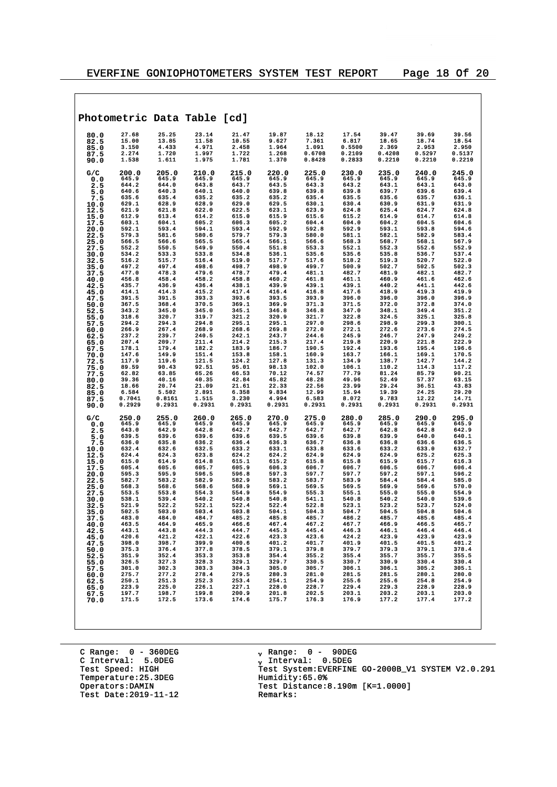|              |                |                | Photometric Data Table [cd]                          |                                                                                                                                                                                                                                     |                |                                                                                   |                 |                         |                |                |
|--------------|----------------|----------------|------------------------------------------------------|-------------------------------------------------------------------------------------------------------------------------------------------------------------------------------------------------------------------------------------|----------------|-----------------------------------------------------------------------------------|-----------------|-------------------------|----------------|----------------|
| 80.0         | 27.68          | 25.25          | 23.14                                                | 21.47                                                                                                                                                                                                                               | 19.87          | 18.12                                                                             | 17.54           | 39.47                   | 39.69          | 39.56          |
| 82.5<br>85.0 | 15.00<br>3.150 | 13.85<br>4.433 | 11.58<br>4.971                                       | 10.55<br>2.458                                                                                                                                                                                                                      | 9.627<br>1.964 | 7.361<br>1.091                                                                    | 6.817<br>0.5500 | 18.65<br>2.369          | 18.74<br>2.953 | 18.54<br>2.950 |
| 87.5         | 2.274          | 1.720          | 1.997                                                | 1.722                                                                                                                                                                                                                               | 1.268          | 0.6708                                                                            | 0.2109          | 0.4208                  | 0.5297         | 0.5137         |
| 90.0         | 1.538          | 1.611          | 1.975                                                | 1.781                                                                                                                                                                                                                               | 1.370          | 0.8428                                                                            | 0.2833          | 0.2210                  | 0.2210         | 0.2210         |
| G/C          | 200.0          | 205.0          | 210.0                                                | 215.0                                                                                                                                                                                                                               | 220.0          | 225.0                                                                             | 230.0           | 235.0                   | 240.0          | 245.0          |
| 0.0<br>2.5   | 645.9<br>644.2 | 645.9<br>644.0 | 645.9<br>643.8                                       | 645.9<br>643.7                                                                                                                                                                                                                      | 645.9<br>643.5 | 645.9<br>643.3                                                                    | 645.9<br>643.2  | 645.9<br>643.1          | 645.9<br>643.1 | 645.9<br>643.0 |
| 5.0          | 640.6          | 640.3          | 640.1                                                | 640.0                                                                                                                                                                                                                               | 639.8          | 639.8                                                                             | 639.8           | 639.7                   | 639.6          | 639.4          |
| 7.5          | 635.6          | 635.4          | 635.2                                                | 635.2                                                                                                                                                                                                                               | 635.2          | 635.4                                                                             | 635.5           | 635.6                   | 635.7          | 636.1          |
| 10.0<br>12.5 | 629.1<br>621.9 | 628.9<br>621.8 | 628.9<br>622.0                                       | 629.0<br>622.5                                                                                                                                                                                                                      | 629.5<br>623.1 | 630.1<br>623.9                                                                    | 630.4<br>624.8  | 630.9<br>625.4          | 631.9<br>624.7 | 631.9<br>624.8 |
| 15.0         | 612.9          | 613.4          | 614.2                                                | 615.0                                                                                                                                                                                                                               | 615.9          | 615.6                                                                             | 615.2           | 614.9                   | 614.7          | 614.8          |
| 17.5         | 603.1          | 604.1          | 605.2                                                | 606.3                                                                                                                                                                                                                               | 605.2          | 604.4                                                                             | 604.0           | 604.2                   | 604.5          | 604.6          |
| 20.0         | 592.1<br>579.3 | 593.4<br>581.6 | 594.1<br>580.6                                       | 593.4<br>579.7                                                                                                                                                                                                                      | 592.9<br>579.3 | 592.8<br>580.0                                                                    | 592.9<br>581.1  | 593.1<br>582.1          | 593.8<br>582.9 | 594.6<br>583.4 |
| 22.5<br>25.0 | 566.5          | 566.6          | 565.5                                                | 565.4                                                                                                                                                                                                                               | 566.1          | 566.6                                                                             | 568.3           | 568.7                   | 568.1          | 567.9          |
| 27.5         | 552.2          | 550.5          | 549.9                                                | 550.4                                                                                                                                                                                                                               | 551.8          | 553.3                                                                             | 552.1           | 552.3                   | 552.6          | 552.9          |
| 30.0<br>32.5 | 534.2<br>516.2 | 533.3<br>515.7 | 533.8<br>516.4                                       | 534.8<br>519.0                                                                                                                                                                                                                      | 536.1<br>517.7 | 535.6<br>517.6                                                                    | 535.6<br>518.2  | 535.8<br>519.3          | 536.7<br>520.7 | 537.4<br>522.0 |
| 35.0         | 497.2          | 497.4          | 498.6                                                | 498.7                                                                                                                                                                                                                               | 498.9          | 499.7                                                                             | 500.9           | 502.7                   | 502.5          | 502.3          |
| 37.5         | 477.0          | 478.3          | 479.6                                                | 478.7                                                                                                                                                                                                                               | 479.4          | 481.1                                                                             | 482.7           | 481.9                   | 482.1          | 482.7          |
| 40.0<br>42.5 | 456.8<br>435.7 | 458.4<br>436.9 | 458.2<br>436.4                                       | 458.8<br>438.1                                                                                                                                                                                                                      | 460.2<br>439.9 | 461.8<br>439.1                                                                    | 461.1<br>439.1  | 460.9<br>440.2          | 461.6<br>441.1 | 462.6<br>442.6 |
| 45.0         | 414.1          | 414.3          | 415.2                                                | 417.4                                                                                                                                                                                                                               | 416.4          | 416.8                                                                             | 417.6           | 418.9                   | 419.3          | 419.9          |
| 47.5         | 391.5          | 391.5          | 393.3                                                | 393.6                                                                                                                                                                                                                               | 393.5          | 393.9                                                                             | 396.0           | 396.0                   | 396.0          | 396.9          |
| 50.0<br>52.5 | 367.5<br>343.2 | 368.4<br>345.0 | 370.5<br>345.0                                       | 369.1<br>345.1                                                                                                                                                                                                                      | 369.9<br>346.8 | 371.3<br>346.8                                                                    | 371.5<br>347.0  | 372.0<br>348.1          | 372.8<br>349.4 | 374.0<br>351.2 |
| 55.0         | 318.6          | 320.7          | 319.7                                                | 321.2                                                                                                                                                                                                                               | 320.9          | 321.7                                                                             | 322.8           | 324.5                   | 325.1          | 325.8          |
| 57.5         | 294.2          | 294.3          | 294.8                                                | 295.1                                                                                                                                                                                                                               | 295.1          | 297.0                                                                             | 298.6           | 298.9                   | 299.3          | 300.1          |
| 60.0<br>62.5 | 266.9<br>237.2 | 267.4<br>239.7 | 268.9<br>240.5                                       | 268.6<br>242.1                                                                                                                                                                                                                      | 269.8<br>243.7 | 272.0<br>244.6                                                                    | 272.1<br>245.9  | 272.6<br>246.7          | 273.6<br>247.9 | 274.5<br>249.2 |
| 65.0         | 207.4          | 209.7          | 211.4                                                | 214.2                                                                                                                                                                                                                               | 215.3          | 217.4                                                                             | 219.8           | 220.9                   | 221.8          | 222.9          |
| 67.5         | 178.1          | 179.4          | 182.2                                                | 183.9                                                                                                                                                                                                                               | 186.7          | 190.5                                                                             | 192.4           | 193.6                   | 195.4          | 196.6          |
| 70.0<br>72.5 | 147.6<br>117.9 | 149.9<br>119.6 | 151.4<br>121.5                                       | 153.8<br>124.2                                                                                                                                                                                                                      | 158.1<br>127.8 | 160.9<br>131.3                                                                    | 163.7<br>134.9  | 166.1<br>138.7          | 169.1<br>142.7 | 170.5<br>144.2 |
| 75.0         | 89.59          | 90.43          | 92.51                                                | 95.01                                                                                                                                                                                                                               | 98.13          | 102.0                                                                             | 106.1           | 110.2                   | 114.3          | 117.2          |
| 77.5         | 62.82          | 63.85          | 65.26                                                | 66.53                                                                                                                                                                                                                               | 70.12          | 74.57                                                                             | 77.79           | 81.24                   | 85.79          | 90.21          |
| 80.0<br>82.5 | 39.36<br>18.66 | 40.16<br>20.74 | 40.35<br>21.09                                       | 42.84<br>21.61                                                                                                                                                                                                                      | 45.82<br>22.33 | 48.28<br>22.56                                                                    | 49.96<br>23.99  | 52.49<br>29.24          | 57.37<br>36.51 | 63.15<br>43.83 |
| 85.0         | 6.584          | 5.502          | 2.891                                                | 6.358                                                                                                                                                                                                                               | 9.834          | 12.99                                                                             | 15.94           | 19.39                   | 24.25          | 29.20          |
| 87.5         | 0.7041         | 0.8161         | 1.515                                                | 3.230                                                                                                                                                                                                                               | 4.994          | 6.583                                                                             | 8.072           | 9.783                   | 12.22          | 14.71          |
| 90.0         | 0.2929         | 0.2931         | 0.2931                                               | 0.2931                                                                                                                                                                                                                              | 0.2931         | 0.2931                                                                            | 0.2931          | 0.2931                  | 0.2931         | 0.2931         |
| G/C<br>0.0   | 250.0<br>645.9 | 255.0<br>645.9 | 260.0<br>645.9                                       | 265.0<br>645.9                                                                                                                                                                                                                      | 270.0<br>645.9 | 275.0<br>645.9                                                                    | 280.0<br>645.9  | 285.0<br>645.9          | 290.0<br>645.9 | 295.0<br>645.9 |
| 2.5          | 643.0          | 642.9          | 642.8                                                | 642.7                                                                                                                                                                                                                               | 642.7          | 642.7                                                                             | 642.7           | 642.8                   | 642.8          | 642.9          |
| 5.0          | 639.5          | 639.6          | 639.6                                                | 639.6                                                                                                                                                                                                                               | 639.5          | 639.6                                                                             | 639.8           | 639.9                   | 640.0          | 640.1          |
| 7.5<br>10.0  | 636.0<br>632.4 | 635.8<br>632.6 | 636.2<br>632.5                                       | 636.4<br>633.2                                                                                                                                                                                                                      | 636.3<br>633.1 | 636.7<br>633.8                                                                    | 636.8<br>633.6  | 636.8<br>633.2          | 636.6<br>633.0 | 636.5<br>632.7 |
| 12.5         | 624.4          | 624.3          | 623.8                                                | 624.2                                                                                                                                                                                                                               | 624.2          | 624.9                                                                             | 624.9           | 624.9                   | 625.2          | 625.3          |
| 15.0         | 615.0          | 614.9          | 614.8                                                | 615.1                                                                                                                                                                                                                               | 615.2          | 615.8                                                                             | 615.8           | 615.9                   | 615.7          | 616.3          |
| 17.5<br>20.0 | 605.4<br>595.3 | 605.6<br>595.9 | 605.7<br>596.5                                       | 605.9<br>596.8                                                                                                                                                                                                                      | 606.3<br>597.3 | 606.7<br>597.7                                                                    | 606.7<br>597.7  | 606.5<br>597.2          | 606.7<br>597.1 | 606.4<br>596.2 |
| 22.5         | 582.7          | 583.2          | 582.9                                                | 582.9                                                                                                                                                                                                                               | 583.2          | 583.7                                                                             | 583.9           | 584.4                   | 584.4          | 585.0          |
| 25.0         | 568.3          | 568.6          | 568.6                                                | 568.9<br>554.9                                                                                                                                                                                                                      | 569.1          | 569.5                                                                             | 569.5           | 569.9                   | 569.6          | 570.0          |
| 27.5<br>30.0 | 553.5<br>538.1 | 553.8<br>539.4 | 554.3<br>540.2                                       | 540.8                                                                                                                                                                                                                               | 554.9<br>540.8 | 555.3<br>541.1                                                                    | 555.1<br>540.8  | 555.0<br>540.2          | 555.0<br>540.0 | 554.9<br>539.6 |
| 32.5         | 521.9          | 522.2          | 522.1                                                | 522.4                                                                                                                                                                                                                               | 522.4          | 522.8                                                                             | 523.1           | 523.2                   | 523.7          | 524.0          |
| 35.0         | 502.5          | 503.0<br>484.0 | 503.4                                                | 503.8                                                                                                                                                                                                                               | 504.1<br>485.8 | 504.3<br>485.7                                                                    | 504.7<br>486.2  | 504.5<br>485.7          | 504.8          | 504.6          |
| 37.5<br>40.0 | 483.0<br>463.5 | 464.9          | 484.7<br>465.9                                       | 485.2<br>466.6                                                                                                                                                                                                                      | 467.4          | 467.2                                                                             | 467.7           | 466.9                   | 485.6<br>466.5 | 485.4<br>465.7 |
| 42.5         | 443.1          | 443.8          |                                                      | 444.7                                                                                                                                                                                                                               | 445.3          | 445.4                                                                             | 446.3           | 446.1                   | 446.4          | 446.4          |
| 45.0         | 420.6          | 421.2          |                                                      | 422.6                                                                                                                                                                                                                               | 423.3          | 423.6                                                                             | 424.2           | 423.9                   | 423.9          | 423.9          |
| 47.5<br>50.0 | 398.0<br>375.3 | 398.7<br>376.4 | $-44.2$<br>$-422.1$<br>$-399.9$<br>$-377.9$<br>$-35$ | 400.6                                                                                                                                                                                                                               | 401.2          | 401.7                                                                             | 401.9<br>379.7  | 401.5<br>379.3          | 401.5<br>379.1 | 401.2<br>378.4 |
| 52.5         | 351.9          | 352.4          |                                                      |                                                                                                                                                                                                                                     |                | 379.8<br>355.2                                                                    | 355.4           | 355.7                   | 355.7          | 355.5          |
| 55.0         | 326.5          | 327.3          | 328.3                                                |                                                                                                                                                                                                                                     |                | 330.5                                                                             | 330.7           | 330.9                   | 330.4          | 330.4          |
| 57.5<br>60.0 | 301.0<br>275.7 | 302.3<br>277.2 | 303.3<br>278.4                                       |                                                                                                                                                                                                                                     |                |                                                                                   | 306.1<br>281.5  | 306.1                   | 305.2<br>280.1 | 305.1<br>280.0 |
| 62.5         | 250.1          | 251.3          |                                                      |                                                                                                                                                                                                                                     |                |                                                                                   | 255.6           | 281.5<br>255.6<br>229.3 | 254.8          | 254.9          |
| 65.0         | 223.9          | 225.0          |                                                      |                                                                                                                                                                                                                                     |                |                                                                                   | 229.4           |                         | 228.9          | 228.9          |
| 67.5<br>70.0 | 197.7<br>171.5 | 198.7<br>172.5 | 252.3<br>226.1<br>199.8<br>173.6<br>173.6            | $400.6$<br>$379.1$<br>$379.1$<br>$353.8$<br>$354.4$<br>$329.1$<br>$329.7$<br>$304.3$<br>$305.0$<br>$279.5$<br>$280.3$<br>$253.4$<br>$227.1$<br>$228.0$<br>$227.1$<br>$228.0$<br>$227.1$<br>$200.9$<br>$201.8$<br>$174.6$<br>$175.7$ | 175.7          | $\begin{array}{r} 305.7 \\ 281.0 \\ 254.9 \\ 228.7 \\ 202.5 \\ 176.3 \end{array}$ | 203.1<br>176.9  | $203.2$<br>177          | 203.1<br>177.4 | 203.0<br>177.2 |
|              |                |                |                                                      |                                                                                                                                                                                                                                     |                |                                                                                   |                 |                         |                |                |
|              |                |                |                                                      |                                                                                                                                                                                                                                     |                |                                                                                   |                 |                         |                |                |
|              |                |                |                                                      |                                                                                                                                                                                                                                     |                |                                                                                   |                 |                         |                |                |

C Range: 0 - 360DEG C Interval: 5.0DEG Temperature: 25.3DEG<br>Operators:DAMIN Test Date:  $2019-11-12$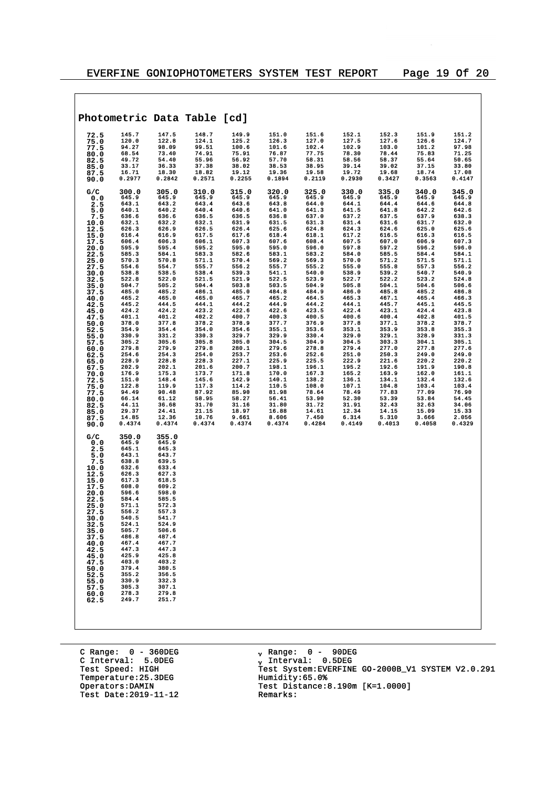$\overline{\phantom{a}}$ 

| Photometric Data Table [cd]                                                                                                                                                                                                                                                                                                                                                                                                                                                                                                                                                                                                                                    |                                                                                                                                                                                                                                                                                                                                                     |                                                                                                                                                                                                                                                                                                                                                     |                                                                                                                                                                                                                                                                                                                                                     |                                                                                                                                                                                                                                                                                                                                                     |                                                                                                                                                                                                                                                                                                                                                     |                                                                                                                                                                                                                                                                                                                                                     |                                                                                                                                                                                                                                                                                                                                                     |                                                                                                                                                                                                                                                                                                                                                     |                                                                                                                                                                                                                                                                                                                                                     |
|----------------------------------------------------------------------------------------------------------------------------------------------------------------------------------------------------------------------------------------------------------------------------------------------------------------------------------------------------------------------------------------------------------------------------------------------------------------------------------------------------------------------------------------------------------------------------------------------------------------------------------------------------------------|-----------------------------------------------------------------------------------------------------------------------------------------------------------------------------------------------------------------------------------------------------------------------------------------------------------------------------------------------------|-----------------------------------------------------------------------------------------------------------------------------------------------------------------------------------------------------------------------------------------------------------------------------------------------------------------------------------------------------|-----------------------------------------------------------------------------------------------------------------------------------------------------------------------------------------------------------------------------------------------------------------------------------------------------------------------------------------------------|-----------------------------------------------------------------------------------------------------------------------------------------------------------------------------------------------------------------------------------------------------------------------------------------------------------------------------------------------------|-----------------------------------------------------------------------------------------------------------------------------------------------------------------------------------------------------------------------------------------------------------------------------------------------------------------------------------------------------|-----------------------------------------------------------------------------------------------------------------------------------------------------------------------------------------------------------------------------------------------------------------------------------------------------------------------------------------------------|-----------------------------------------------------------------------------------------------------------------------------------------------------------------------------------------------------------------------------------------------------------------------------------------------------------------------------------------------------|-----------------------------------------------------------------------------------------------------------------------------------------------------------------------------------------------------------------------------------------------------------------------------------------------------------------------------------------------------|-----------------------------------------------------------------------------------------------------------------------------------------------------------------------------------------------------------------------------------------------------------------------------------------------------------------------------------------------------|
| 145.7<br>72.5<br>120.0<br>75.0<br>94.27<br>77.5<br>68.54<br>80.0<br>49.72<br>82.5<br>33.17<br>85.0<br>16.71<br>87.5<br>0.2977<br>90.0                                                                                                                                                                                                                                                                                                                                                                                                                                                                                                                          | 147.5<br>122.8<br>98.09<br>73.40<br>54.40<br>36.33<br>18.30<br>0.2842                                                                                                                                                                                                                                                                               | 148.7<br>124.1<br>99.51<br>74.91<br>55.96<br>37.38<br>18.82<br>0.2571                                                                                                                                                                                                                                                                               | 149.9<br>125.2<br>100.6<br>75.91<br>56.92<br>38.02<br>19.12<br>0.2255                                                                                                                                                                                                                                                                               | 151.0<br>126.3<br>101.6<br>76.87<br>57.70<br>38.53<br>19.36<br>0.1894                                                                                                                                                                                                                                                                               | 151.6<br>127.0<br>102.4<br>77.75<br>58.31<br>38.95<br>19.58<br>0.2119                                                                                                                                                                                                                                                                               | 152.1<br>127.5<br>102.9<br>78.30<br>58.56<br>39.14<br>19.72<br>0.2930                                                                                                                                                                                                                                                                               | 152.3<br>127.6<br>103.0<br>78.44<br>58.37<br>39.02<br>19.68<br>0.3427                                                                                                                                                                                                                                                                               | 151.9<br>126.6<br>101.2<br>75.83<br>55.64<br>37.15<br>18.74<br>0.3563                                                                                                                                                                                                                                                                               | 151.2<br>124.7<br>97.98<br>71.25<br>50.65<br>33.80<br>17.08<br>0.4147                                                                                                                                                                                                                                                                               |
| 300.0<br>G/C<br>645.9<br>0.0<br>643.1<br>2.5<br>640.1<br>5.0<br>636.6<br>7.5<br>632.1<br>10.0<br>626.3<br>12.5<br>616.4<br>15.0<br>606.4<br>17.5<br>595.9<br>20.0<br>585.3<br>22.5<br>570.3<br>25.0<br>554.6<br>27.5<br>538.8<br>30.0<br>522.8<br>32.5<br>504.7<br>35.0<br>485.0<br>37.5<br>465.2<br>40.0<br>445.2<br>42.5<br>424.2<br>45.0<br>401.1<br>47.5<br>378.0<br>50.0<br>354.9<br>52.5<br>330.9<br>55.0<br>305.2<br>57.5<br>279.8<br>60.0<br>254.6<br>62.5<br>228.9<br>65.0<br>202.9<br>67.5<br>176.9<br>70.0<br>151.0<br>72.5<br>122.8<br>75.0<br>94.49<br>77.5<br>66.14<br>80.0<br>44.11<br>82.5<br>29.37<br>85.0<br>14.85<br>87.5<br>0.4374<br>90.0 | 305.0<br>645.9<br>643.2<br>640.2<br>636.6<br>632.2<br>626.9<br>616.9<br>606.3<br>595.4<br>584.1<br>570.8<br>554.7<br>538.5<br>522.0<br>505.2<br>485.2<br>465.0<br>444.5<br>424.2<br>401.2<br>377.8<br>354.4<br>331.2<br>305.6<br>279.9<br>254.3<br>228.8<br>202.1<br>175.3<br>148.4<br>119.9<br>90.48<br>61.12<br>36.68<br>24.41<br>12.36<br>0.4374 | 310.0<br>645.9<br>643.4<br>640.4<br>636.5<br>632.1<br>626.5<br>617.5<br>606.1<br>595.2<br>583.3<br>571.1<br>555.7<br>538.4<br>521.5<br>504.4<br>486.1<br>465.0<br>444.1<br>423.2<br>402.2<br>378.2<br>354.0<br>330.3<br>305.8<br>279.8<br>254.0<br>228.3<br>201.6<br>173.7<br>145.6<br>117.3<br>87.92<br>58.95<br>31.70<br>21.15<br>10.76<br>0.4374 | 315.0<br>645.9<br>643.6<br>640.6<br>636.5<br>631.9<br>626.4<br>617.6<br>607.3<br>595.0<br>582.6<br>570.4<br>556.2<br>539.3<br>521.9<br>503.8<br>485.0<br>465.7<br>444.2<br>422.6<br>400.7<br>378.9<br>354.6<br>329.7<br>305.0<br>280.1<br>253.7<br>227.1<br>200.7<br>171.8<br>142.9<br>114.2<br>85.90<br>58.27<br>31.16<br>18.97<br>9.661<br>0.4374 | 320.0<br>645.9<br>643.8<br>641.0<br>636.8<br>631.5<br>625.6<br>618.4<br>607.6<br>595.0<br>583.1<br>569.2<br>555.7<br>541.1<br>522.5<br>503.5<br>484.8<br>465.2<br>444.9<br>422.6<br>400.3<br>377.7<br>355.1<br>329.9<br>304.5<br>279.6<br>253.6<br>225.9<br>198.1<br>170.0<br>140.1<br>110.5<br>81.98<br>56.41<br>31.80<br>16.88<br>8.606<br>0.4374 | 325.0<br>645.9<br>644.0<br>641.3<br>637.0<br>631.3<br>624.8<br>618.1<br>608.4<br>596.0<br>583.2<br>569.3<br>555.2<br>540.0<br>523.9<br>504.9<br>484.9<br>464.5<br>444.2<br>423.5<br>400.5<br>376.9<br>353.6<br>330.4<br>304.9<br>278.8<br>252.6<br>225.5<br>196.1<br>167.3<br>138.2<br>108.0<br>78.64<br>53.90<br>31.72<br>14.61<br>7.450<br>0.4284 | 330.0<br>645.9<br>644.1<br>641.5<br>637.2<br>631.4<br>624.3<br>617.2<br>607.5<br>597.8<br>584.0<br>570.0<br>555.0<br>538.9<br>522.7<br>505.8<br>486.0<br>465.3<br>444.1<br>422.4<br>400.6<br>377.8<br>353.1<br>329.0<br>304.5<br>279.4<br>251.0<br>222.9<br>195.2<br>165.2<br>136.1<br>107.1<br>78.49<br>52.30<br>31.91<br>12.34<br>6.314<br>0.4149 | 335.0<br>645.9<br>644.4<br>641.8<br>637.5<br>631.6<br>624.6<br>616.5<br>607.0<br>597.2<br>585.5<br>571.2<br>555.8<br>539.2<br>522.2<br>504.1<br>485.8<br>467.1<br>445.7<br>423.1<br>400.4<br>377.1<br>353.9<br>329.1<br>303.3<br>277.0<br>250.3<br>221.6<br>192.6<br>163.9<br>134.1<br>104.8<br>77.83<br>53.39<br>32.43<br>14.15<br>5.310<br>0.4013 | 340.0<br>645.9<br>644.6<br>642.2<br>637.9<br>631.7<br>625.0<br>616.3<br>606.9<br>596.2<br>584.4<br>571.5<br>557.3<br>540.7<br>523.2<br>504.6<br>485.2<br>465.4<br>445.1<br>424.4<br>402.8<br>378.2<br>353.8<br>328.9<br>304.1<br>277.8<br>249.0<br>220.2<br>191.9<br>162.0<br>132.4<br>103.4<br>77.09<br>53.84<br>32.63<br>15.09<br>3.666<br>0.4058 | 345.0<br>645.9<br>644.8<br>642.6<br>638.3<br>632.0<br>625.6<br>616.5<br>607.3<br>596.0<br>584.1<br>571.1<br>556.2<br>540.9<br>524.8<br>506.6<br>486.8<br>466.3<br>445.5<br>423.8<br>401.5<br>378.7<br>355.3<br>331.3<br>305.1<br>277.6<br>249.0<br>220.2<br>190.8<br>161.1<br>132.6<br>103.4<br>76.90<br>54.45<br>34.06<br>15.33<br>2.056<br>0.4329 |
| G/C<br>350.0<br>645.9<br>0.0<br>645.1<br>2.5<br>643.1<br>5.0<br>7.5<br>638.8<br>632.6<br>10.0<br>626.3<br>12.5<br>617.3<br>15.0<br>608.0<br>17.5<br>596.6<br>20.0<br>584.4<br>22.5<br>571.1<br>25.0<br>556.2<br>27.5<br>540.5<br>30.0<br>524.1<br>32.5<br>505.7<br>35.0<br>486.8<br>37.5<br>467.4<br>40.0<br>447.3<br>42.5<br>425.9<br>45.0<br>403.0<br>47.5<br>379.4<br>50.0<br>355.2<br>52.5<br>330.9<br>55.0<br>305.3<br>57.5<br>278.3<br>60.0<br>249.7<br>62.5                                                                                                                                                                                             | 355.0<br>645.9<br>645.3<br>643.7<br>639.5<br>633.4<br>627.3<br>618.5<br>609.2<br>598.0<br>585.5<br>572.3<br>557.3<br>541.7<br>524.9<br>506.6<br>487.4<br>467.7<br>447.3<br>425.8<br>403.2<br>380.5<br>356.5<br>332.3<br>307.1<br>279.8<br>251.7                                                                                                     |                                                                                                                                                                                                                                                                                                                                                     |                                                                                                                                                                                                                                                                                                                                                     |                                                                                                                                                                                                                                                                                                                                                     |                                                                                                                                                                                                                                                                                                                                                     |                                                                                                                                                                                                                                                                                                                                                     |                                                                                                                                                                                                                                                                                                                                                     |                                                                                                                                                                                                                                                                                                                                                     |                                                                                                                                                                                                                                                                                                                                                     |

C Range: 0 - 360DEG C Interval: 5.0DEG Test Speed: HIGH<br>Temperature:25.3DEG<br>Operators:DAMIN Test Date:  $2019-11-12$